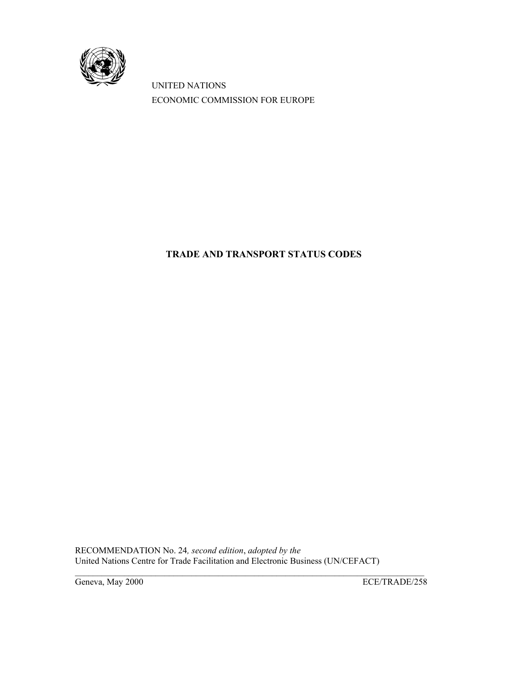

UNITED NATIONS ECONOMIC COMMISSION FOR EUROPE

# **TRADE AND TRANSPORT STATUS CODES**

RECOMMENDATION No. 24*, second edition*, *adopted by the* United Nations Centre for Trade Facilitation and Electronic Business (UN/CEFACT)

 $\mathcal{L}_\mathcal{L} = \{ \mathcal{L}_\mathcal{L} = \{ \mathcal{L}_\mathcal{L} = \{ \mathcal{L}_\mathcal{L} = \{ \mathcal{L}_\mathcal{L} = \{ \mathcal{L}_\mathcal{L} = \{ \mathcal{L}_\mathcal{L} = \{ \mathcal{L}_\mathcal{L} = \{ \mathcal{L}_\mathcal{L} = \{ \mathcal{L}_\mathcal{L} = \{ \mathcal{L}_\mathcal{L} = \{ \mathcal{L}_\mathcal{L} = \{ \mathcal{L}_\mathcal{L} = \{ \mathcal{L}_\mathcal{L} = \{ \mathcal{L}_\mathcal{$ 

Geneva, May 2000 ECE/TRADE/258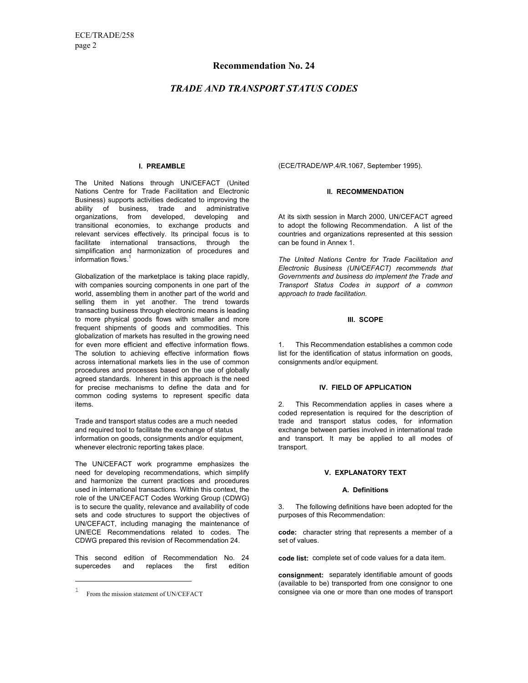### **Recommendation No. 24**

### *TRADE AND TRANSPORT STATUS CODES*

#### **I. PREAMBLE**

The United Nations through UN/CEFACT (United Nations Centre for Trade Facilitation and Electronic Business) supports activities dedicated to improving the ability of business, trade and administrative organizations, from developed, developing and transitional economies, to exchange products and relevant services effectively. Its principal focus is to facilitate international transactions, through the simplification and harmonization of procedures and information flows.<sup>1</sup>

Globalization of the marketplace is taking place rapidly, with companies sourcing components in one part of the world, assembling them in another part of the world and selling them in yet another. The trend towards transacting business through electronic means is leading to more physical goods flows with smaller and more frequent shipments of goods and commodities. This globalization of markets has resulted in the growing need for even more efficient and effective information flows. The solution to achieving effective information flows across international markets lies in the use of common procedures and processes based on the use of globally agreed standards. Inherent in this approach is the need for precise mechanisms to define the data and for common coding systems to represent specific data items.

Trade and transport status codes are a much needed and required tool to facilitate the exchange of status information on goods, consignments and/or equipment, whenever electronic reporting takes place.

The UN/CEFACT work programme emphasizes the need for developing recommendations, which simplify and harmonize the current practices and procedures used in international transactions. Within this context, the role of the UN/CEFACT Codes Working Group (CDWG) is to secure the quality, relevance and availability of code sets and code structures to support the objectives of UN/CEFACT, including managing the maintenance of UN/ECE Recommendations related to codes. The CDWG prepared this revision of Recommendation 24.

This second edition of Recommendation No. 24 supercedes and replaces the first edition

÷

(ECE/TRADE/WP.4/R.1067, September 1995).

#### **II. RECOMMENDATION**

At its sixth session in March 2000, UN/CEFACT agreed to adopt the following Recommendation. A list of the countries and organizations represented at this session can be found in Annex 1.

*The United Nations Centre for Trade Facilitation and Electronic Business (UN/CEFACT) recommends that Governments and business do implement the Trade and Transport Status Codes in support of a common approach to trade facilitation.*

#### **III. SCOPE**

1. This Recommendation establishes a common code list for the identification of status information on goods, consignments and/or equipment.

#### **IV. FIELD OF APPLICATION**

2. This Recommendation applies in cases where a coded representation is required for the description of trade and transport status codes, for information exchange between parties involved in international trade and transport. It may be applied to all modes of transport.

### **V. EXPLANATORY TEXT**

#### **A. Definitions**

3. The following definitions have been adopted for the purposes of this Recommendation:

**code:** character string that represents a member of a set of values.

**code list:** complete set of code values for a data item.

**consignment:** separately identifiable amount of goods (available to be) transported from one consignor to one consignee via one or more than one modes of transport

<sup>1</sup> From the mission statement of UN/CEFACT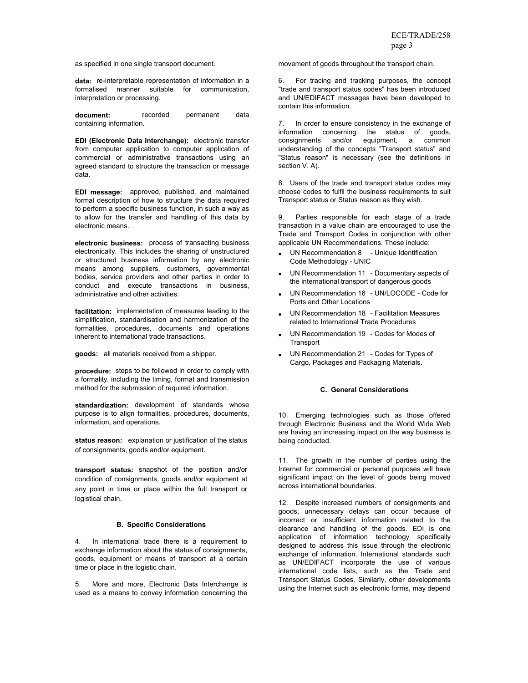as specified in one single transport document.

**data:** re-interpretable representation of information in a formalised manner suitable for communication, interpretation or processing.

**document:** recorded permanent data containing information.

**EDI (Electronic Data Interchange):** electronic transfer from computer application to computer application of commercial or administrative transactions using an agreed standard to structure the transaction or message data.

**EDI message:** approved, published, and maintained formal description of how to structure the data required to perform a specific business function, in such a way as to allow for the transfer and handling of this data by electronic means.

**electronic business:** process of transacting business electronically. This includes the sharing of unstructured or structured business information by any electronic means among suppliers, customers, governmental bodies, service providers and other parties in order to conduct and execute transactions in business, administrative and other activities.

**facilitation:** implementation of measures leading to the simplification, standardisation and harmonization of the formalities, procedures, documents and operations inherent to international trade transactions.

**goods:** all materials received from a shipper.

**procedure:** steps to be followed in order to comply with a formality, including the timing, format and transmission method for the submission of required information.

**standardization:** development of standards whose purpose is to align formalities, procedures, documents, information, and operations.

**status reason:** explanation or justification of the status of consignments, goods and/or equipment.

**transport status:** snapshot of the position and/or condition of consignments, goods and/or equipment at any point in time or place within the full transport or logistical chain.

#### **B. Specific Considerations**

4. In international trade there is a requirement to exchange information about the status of consignments, goods, equipment or means of transport at a certain time or place in the logistic chain.

5. More and more, Electronic Data Interchange is used as a means to convey information concerning the movement of goods throughout the transport chain.

6. For tracing and tracking purposes, the concept "trade and transport status codes" has been introduced and UN/EDIFACT messages have been developed to contain this information.

7. In order to ensure consistency in the exchange of information concerning the status of goods, consignments and/or equipment, a common understanding of the concepts "Transport status" and "Status reason" is necessary (see the definitions in section V. A).

8. Users of the trade and transport status codes may choose codes to fulfil the business requirements to suit Transport status or Status reason as they wish.

9. Parties responsible for each stage of a trade transaction in a value chain are encouraged to use the Trade and Transport Codes in conjunction with other applicable UN Recommendations. These include:

- UN Recommendation 8 Unique Identification Code Methodology - UNIC
- UN Recommendation 11 Documentary aspects of the international transport of dangerous goods
- UN Recommendation 16 UN/LOCODE Code for Ports and Other Locations
- UN Recommendation 18 Facilitation Measures related to International Trade Procedures
- UN Recommendation 19 Codes for Modes of **Transport**
- UN Recommendation 21 Codes for Types of Cargo, Packages and Packaging Materials.

#### **C. General Considerations**

10. Emerging technologies such as those offered through Electronic Business and the World Wide Web are having an increasing impact on the way business is being conducted.

11. The growth in the number of parties using the Internet for commercial or personal purposes will have significant impact on the level of goods being moved across international boundaries.

12. Despite increased numbers of consignments and goods, unnecessary delays can occur because of incorrect or insufficient information related to the clearance and handling of the goods. EDI is one application of information technology specifically designed to address this issue through the electronic exchange of information. International standards such as UN/EDIFACT incorporate the use of various international code lists, such as the Trade and Transport Status Codes. Similarly, other developments using the Internet such as electronic forms, may depend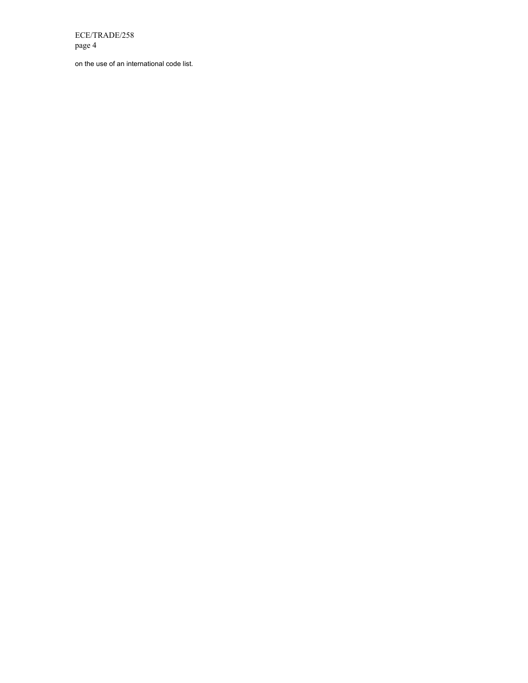on the use of an international code list.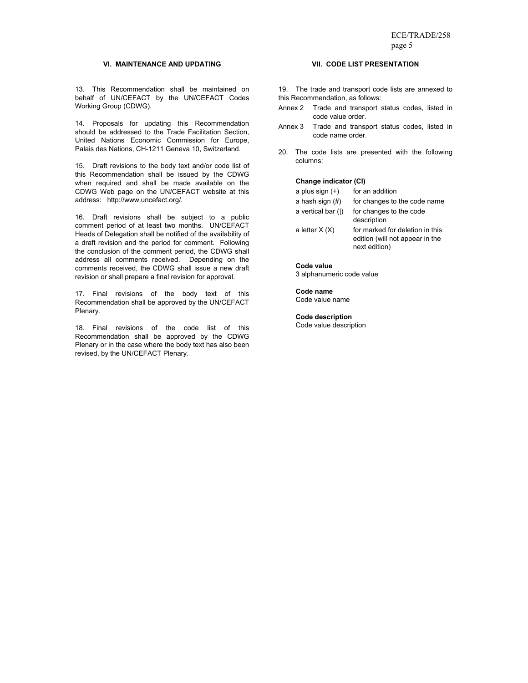#### **VI. MAINTENANCE AND UPDATING**

13. This Recommendation shall be maintained on behalf of UN/CEFACT by the UN/CEFACT Codes Working Group (CDWG).

14. Proposals for updating this Recommendation should be addressed to the Trade Facilitation Section, United Nations Economic Commission for Europe, Palais des Nations, CH-1211 Geneva 10, Switzerland.

15. Draft revisions to the body text and/or code list of this Recommendation shall be issued by the CDWG when required and shall be made available on the CDWG Web page on the UN/CEFACT website at this address: http://www.uncefact.org/.

16. Draft revisions shall be subject to a public comment period of at least two months. UN/CEFACT Heads of Delegation shall be notified of the availability of a draft revision and the period for comment. Following the conclusion of the comment period, the CDWG shall address all comments received. Depending on the comments received, the CDWG shall issue a new draft revision or shall prepare a final revision for approval.

17. Final revisions of the body text of this Recommendation shall be approved by the UN/CEFACT Plenary.

18. Final revisions of the code list of this Recommendation shall be approved by the CDWG Plenary or in the case where the body text has also been revised, by the UN/CEFACT Plenary.

### **VII. CODE LIST PRESENTATION**

19. The trade and transport code lists are annexed to this Recommendation, as follows:

- Annex 2 Trade and transport status codes, listed in code value order.
- Annex 3 Trade and transport status codes, listed in code name order.
- 20. The code lists are presented with the following columns:

#### **Change indicator (CI)**

| a plus sign (+)    | for an addition                                                                     |
|--------------------|-------------------------------------------------------------------------------------|
| a hash sign (#)    | for changes to the code name                                                        |
| a vertical bar ( ) | for changes to the code<br>description                                              |
| a letter X (X)     | for marked for deletion in this<br>edition (will not appear in the<br>next edition) |

#### **Code value**

3 alphanumeric code value

**Code name**  Code value name

**Code description** 

Code value description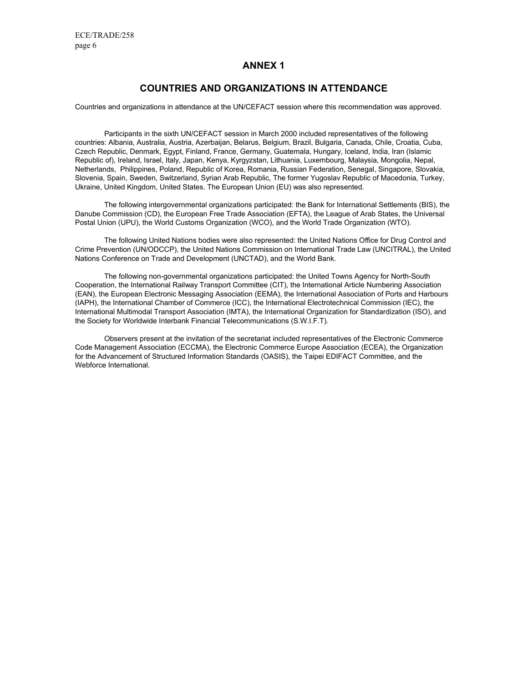### **ANNEX 1**

### **COUNTRIES AND ORGANIZATIONS IN ATTENDANCE**

Countries and organizations in attendance at the UN/CEFACT session where this recommendation was approved.

Participants in the sixth UN/CEFACT session in March 2000 included representatives of the following countries: Albania, Australia, Austria, Azerbaijan, Belarus, Belgium, Brazil, Bulgaria, Canada, Chile, Croatia, Cuba, Czech Republic, Denmark, Egypt, Finland, France, Germany, Guatemala, Hungary, Iceland, India, Iran (Islamic Republic of), Ireland, Israel, Italy, Japan, Kenya, Kyrgyzstan, Lithuania, Luxembourg, Malaysia, Mongolia, Nepal, Netherlands, Philippines, Poland, Republic of Korea, Romania, Russian Federation, Senegal, Singapore, Slovakia, Slovenia, Spain, Sweden, Switzerland, Syrian Arab Republic, The former Yugoslav Republic of Macedonia, Turkey, Ukraine, United Kingdom, United States. The European Union (EU) was also represented.

The following intergovernmental organizations participated: the Bank for International Settlements (BIS), the Danube Commission (CD), the European Free Trade Association (EFTA), the League of Arab States, the Universal Postal Union (UPU), the World Customs Organization (WCO), and the World Trade Organization (WTO).

The following United Nations bodies were also represented: the United Nations Office for Drug Control and Crime Prevention (UN/ODCCP), the United Nations Commission on International Trade Law (UNCITRAL), the United Nations Conference on Trade and Development (UNCTAD), and the World Bank.

The following non-governmental organizations participated: the United Towns Agency for North-South Cooperation, the International Railway Transport Committee (CIT), the International Article Numbering Association (EAN), the European Electronic Messaging Association (EEMA), the International Association of Ports and Harbours (IAPH), the International Chamber of Commerce (ICC), the International Electrotechnical Commission (IEC), the International Multimodal Transport Association (IMTA), the International Organization for Standardization (ISO), and the Society for Worldwide Interbank Financial Telecommunications (S.W.I.F.T).

Observers present at the invitation of the secretariat included representatives of the Electronic Commerce Code Management Association (ECCMA), the Electronic Commerce Europe Association (ECEA), the Organization for the Advancement of Structured Information Standards (OASIS), the Taipei EDIFACT Committee, and the Webforce International.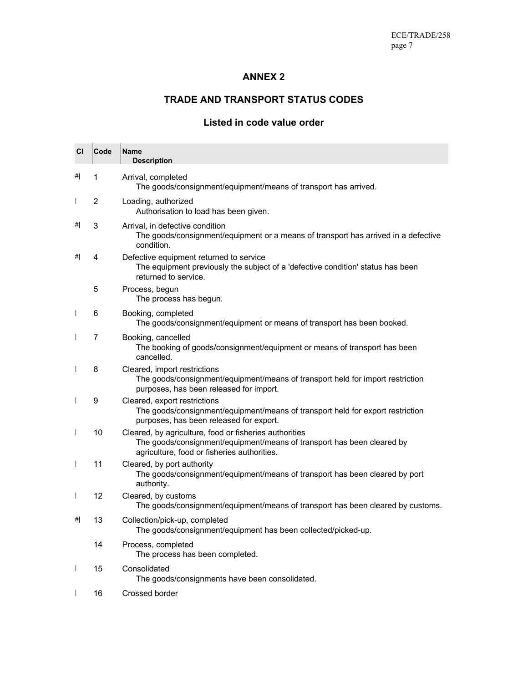## **ANNEX 2**

## **TRADE AND TRANSPORT STATUS CODES**

## **Listed in code value order**

| <b>CI</b>                      | Code | <b>Name</b><br><b>Description</b>                                                                                                                                               |
|--------------------------------|------|---------------------------------------------------------------------------------------------------------------------------------------------------------------------------------|
| #                              | 1    | Arrival, completed<br>The goods/consignment/equipment/means of transport has arrived.                                                                                           |
| $\mathsf{I}$                   | 2    | Loading, authorized<br>Authorisation to load has been given.                                                                                                                    |
| #                              | 3    | Arrival, in defective condition<br>The goods/consignment/equipment or a means of transport has arrived in a defective<br>condition.                                             |
| #                              | 4    | Defective equipment returned to service<br>The equipment previously the subject of a 'defective condition' status has been<br>returned to service.                              |
|                                | 5    | Process, begun<br>The process has begun.                                                                                                                                        |
| $\overline{\phantom{a}}$       | 6    | Booking, completed<br>The goods/consignment/equipment or means of transport has been booked.                                                                                    |
| $\overline{1}$                 | 7    | Booking, cancelled<br>The booking of goods/consignment/equipment or means of transport has been<br>cancelled.                                                                   |
| $\overline{\phantom{a}}$       | 8    | Cleared, import restrictions<br>The goods/consignment/equipment/means of transport held for import restriction<br>purposes, has been released for import.                       |
| $\overline{\phantom{a}}$       | 9    | Cleared, export restrictions<br>The goods/consignment/equipment/means of transport held for export restriction<br>purposes, has been released for export.                       |
| $\overline{\phantom{a}}$       | 10   | Cleared, by agriculture, food or fisheries authorities<br>The goods/consignment/equipment/means of transport has been cleared by<br>agriculture, food or fisheries authorities. |
| $\overline{\phantom{a}}$       | 11   | Cleared, by port authority<br>The goods/consignment/equipment/means of transport has been cleared by port<br>authority.                                                         |
| $\begin{array}{c} \end{array}$ | 12   | Cleared, by customs<br>The goods/consignment/equipment/means of transport has been cleared by customs.                                                                          |
| #                              | 13   | Collection/pick-up, completed<br>The goods/consignment/equipment has been collected/picked-up.                                                                                  |
|                                | 14   | Process, completed<br>The process has been completed.                                                                                                                           |
| I                              | 15   | Consolidated<br>The goods/consignments have been consolidated.                                                                                                                  |
| $\overline{\phantom{a}}$       | 16   | Crossed border                                                                                                                                                                  |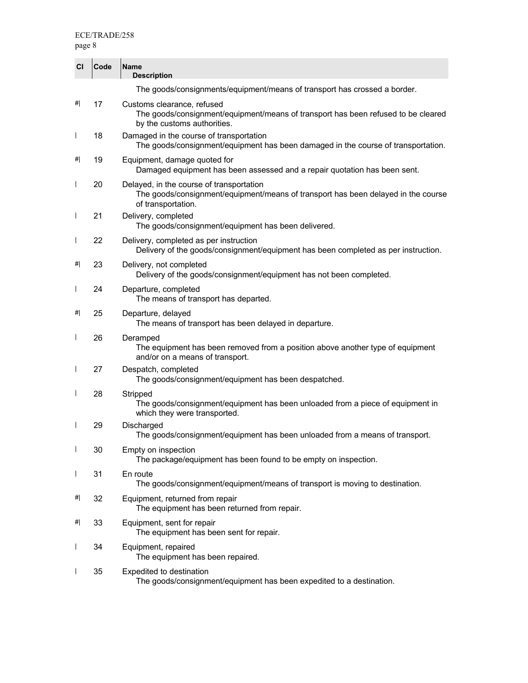| CI                       | Code | <b>Name</b><br><b>Description</b>                                                                                                                   |
|--------------------------|------|-----------------------------------------------------------------------------------------------------------------------------------------------------|
|                          |      | The goods/consignments/equipment/means of transport has crossed a border.                                                                           |
| #                        | 17   | Customs clearance, refused<br>The goods/consignment/equipment/means of transport has been refused to be cleared<br>by the customs authorities.      |
| $\overline{\phantom{a}}$ | 18   | Damaged in the course of transportation<br>The goods/consignment/equipment has been damaged in the course of transportation.                        |
| #                        | 19   | Equipment, damage quoted for<br>Damaged equipment has been assessed and a repair quotation has been sent.                                           |
| $\mathsf{I}$             | 20   | Delayed, in the course of transportation<br>The goods/consignment/equipment/means of transport has been delayed in the course<br>of transportation. |
| $\mathsf{I}$             | 21   | Delivery, completed<br>The goods/consignment/equipment has been delivered.                                                                          |
| $\overline{\phantom{a}}$ | 22   | Delivery, completed as per instruction<br>Delivery of the goods/consignment/equipment has been completed as per instruction.                        |
| #                        | 23   | Delivery, not completed<br>Delivery of the goods/consignment/equipment has not been completed.                                                      |
| I                        | 24   | Departure, completed<br>The means of transport has departed.                                                                                        |
| #                        | 25   | Departure, delayed<br>The means of transport has been delayed in departure.                                                                         |
| $\overline{\phantom{a}}$ | 26   | Deramped<br>The equipment has been removed from a position above another type of equipment<br>and/or on a means of transport.                       |
| $\overline{1}$           | 27   | Despatch, completed<br>The goods/consignment/equipment has been despatched.                                                                         |
| $\overline{\phantom{a}}$ | 28   | Stripped<br>The goods/consignment/equipment has been unloaded from a piece of equipment in<br>which they were transported.                          |
| $\overline{\phantom{a}}$ | 29   | Discharged<br>The goods/consignment/equipment has been unloaded from a means of transport.                                                          |
| $\overline{\phantom{a}}$ | 30   | Empty on inspection<br>The package/equipment has been found to be empty on inspection.                                                              |
| $\overline{\phantom{a}}$ | 31   | En route<br>The goods/consignment/equipment/means of transport is moving to destination.                                                            |
| #                        | 32   | Equipment, returned from repair<br>The equipment has been returned from repair.                                                                     |
| #                        | 33   | Equipment, sent for repair<br>The equipment has been sent for repair.                                                                               |
| I                        | 34   | Equipment, repaired<br>The equipment has been repaired.                                                                                             |
| $\mathsf{I}$             | 35   | Expedited to destination<br>The goods/consignment/equipment has been expedited to a destination.                                                    |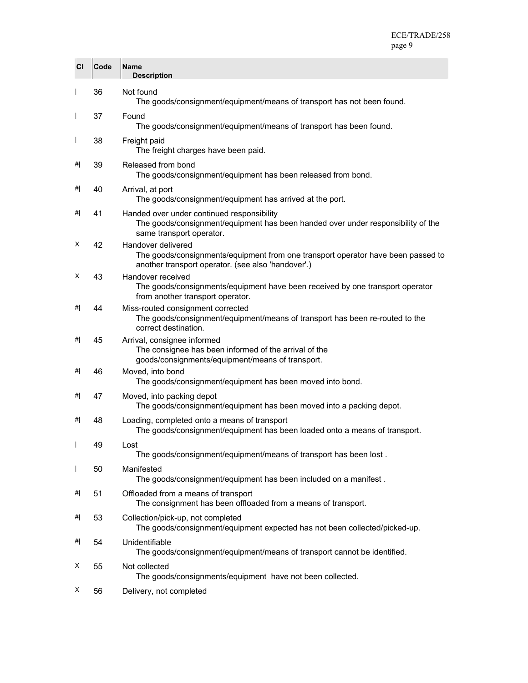| CI                       | Code | <b>Name</b><br><b>Description</b>                                                                                                                            |
|--------------------------|------|--------------------------------------------------------------------------------------------------------------------------------------------------------------|
| $\overline{1}$           | 36   | Not found<br>The goods/consignment/equipment/means of transport has not been found.                                                                          |
| $\overline{\phantom{a}}$ | 37   | Found<br>The goods/consignment/equipment/means of transport has been found.                                                                                  |
| $\overline{\phantom{a}}$ | 38   | Freight paid<br>The freight charges have been paid.                                                                                                          |
| #                        | 39   | Released from bond<br>The goods/consignment/equipment has been released from bond.                                                                           |
| #                        | 40   | Arrival, at port<br>The goods/consignment/equipment has arrived at the port.                                                                                 |
| #                        | 41   | Handed over under continued responsibility<br>The goods/consignment/equipment has been handed over under responsibility of the<br>same transport operator.   |
| x                        | 42   | Handover delivered<br>The goods/consignments/equipment from one transport operator have been passed to<br>another transport operator. (see also 'handover'.) |
| X                        | 43   | Handover received<br>The goods/consignments/equipment have been received by one transport operator<br>from another transport operator.                       |
| #                        | 44   | Miss-routed consignment corrected<br>The goods/consignment/equipment/means of transport has been re-routed to the<br>correct destination.                    |
| #                        | 45   | Arrival, consignee informed<br>The consignee has been informed of the arrival of the<br>goods/consignments/equipment/means of transport.                     |
| #                        | 46   | Moved, into bond<br>The goods/consignment/equipment has been moved into bond.                                                                                |
| #                        | 47   | Moved, into packing depot<br>The goods/consignment/equipment has been moved into a packing depot.                                                            |
| #                        | 48   | Loading, completed onto a means of transport<br>The goods/consignment/equipment has been loaded onto a means of transport.                                   |
|                          | 49   | Lost<br>The goods/consignment/equipment/means of transport has been lost.                                                                                    |
| $\overline{\phantom{a}}$ | 50   | Manifested<br>The goods/consignment/equipment has been included on a manifest.                                                                               |
| #                        | 51   | Offloaded from a means of transport<br>The consignment has been offloaded from a means of transport.                                                         |
| #                        | 53   | Collection/pick-up, not completed<br>The goods/consignment/equipment expected has not been collected/picked-up.                                              |
| #                        | 54   | Unidentifiable<br>The goods/consignment/equipment/means of transport cannot be identified.                                                                   |
| х                        | 55   | Not collected<br>The goods/consignments/equipment have not been collected.                                                                                   |
| X                        | 56   | Delivery, not completed                                                                                                                                      |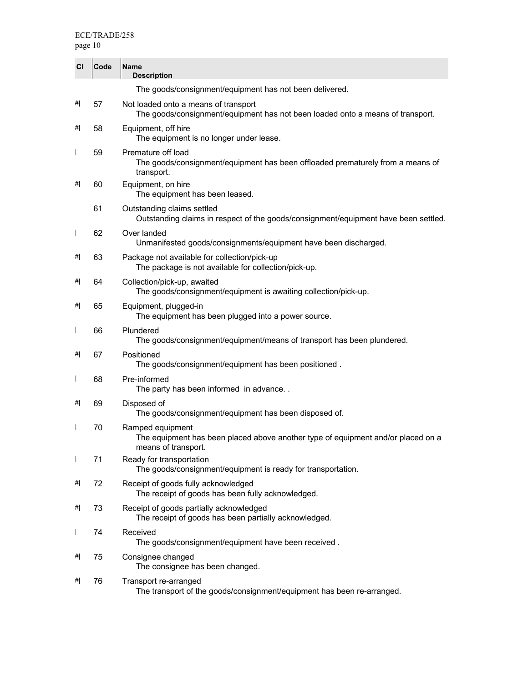page 10

| CI                       | Code | <b>Name</b><br><b>Description</b>                                                                                           |
|--------------------------|------|-----------------------------------------------------------------------------------------------------------------------------|
|                          |      | The goods/consignment/equipment has not been delivered.                                                                     |
| #                        | 57   | Not loaded onto a means of transport<br>The goods/consignment/equipment has not been loaded onto a means of transport.      |
| #                        | 58   | Equipment, off hire<br>The equipment is no longer under lease.                                                              |
| $\mathsf{I}$             | 59   | Premature off load<br>The goods/consignment/equipment has been offloaded prematurely from a means of<br>transport.          |
| #                        | 60   | Equipment, on hire<br>The equipment has been leased.                                                                        |
|                          | 61   | Outstanding claims settled<br>Outstanding claims in respect of the goods/consignment/equipment have been settled.           |
| $\overline{\phantom{a}}$ | 62   | Over landed<br>Unmanifested goods/consignments/equipment have been discharged.                                              |
| #                        | 63   | Package not available for collection/pick-up<br>The package is not available for collection/pick-up.                        |
| #                        | 64   | Collection/pick-up, awaited<br>The goods/consignment/equipment is awaiting collection/pick-up.                              |
| #                        | 65   | Equipment, plugged-in<br>The equipment has been plugged into a power source.                                                |
| $\mathsf{I}$             | 66   | Plundered<br>The goods/consignment/equipment/means of transport has been plundered.                                         |
| #                        | 67   | Positioned<br>The goods/consignment/equipment has been positioned.                                                          |
| $\mathsf{I}$             | 68   | Pre-informed<br>The party has been informed in advance                                                                      |
| #                        | 69   | Disposed of<br>The goods/consignment/equipment has been disposed of.                                                        |
| $\mathsf{I}$             | 70   | Ramped equipment<br>The equipment has been placed above another type of equipment and/or placed on a<br>means of transport. |
| $\overline{1}$           | 71   | Ready for transportation<br>The goods/consignment/equipment is ready for transportation.                                    |
| #                        | 72   | Receipt of goods fully acknowledged<br>The receipt of goods has been fully acknowledged.                                    |
| #                        | 73   | Receipt of goods partially acknowledged<br>The receipt of goods has been partially acknowledged.                            |
| $\mathsf{I}$             | 74   | Received<br>The goods/consignment/equipment have been received.                                                             |
| #                        | 75   | Consignee changed<br>The consignee has been changed.                                                                        |
| #                        | 76   | Transport re-arranged<br>The transport of the goods/consignment/equipment has been re-arranged.                             |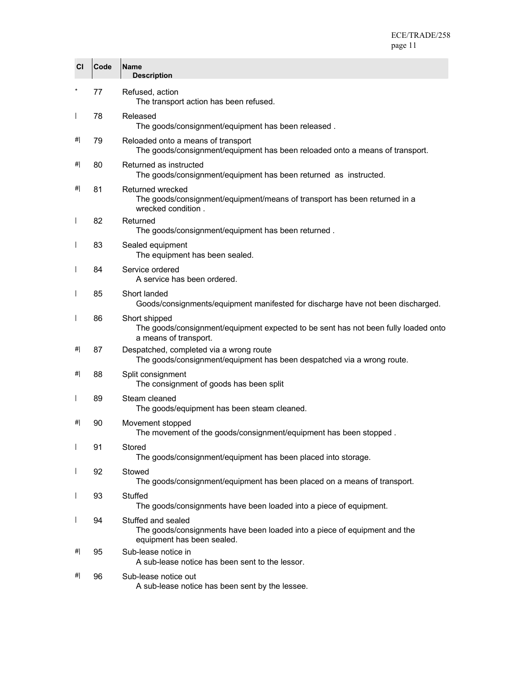| CI                       | Code | <b>Name</b><br><b>Description</b>                                                                                             |
|--------------------------|------|-------------------------------------------------------------------------------------------------------------------------------|
|                          | 77   | Refused, action<br>The transport action has been refused.                                                                     |
| $\overline{1}$           | 78   | Released<br>The goods/consignment/equipment has been released.                                                                |
| #                        | 79   | Reloaded onto a means of transport<br>The goods/consignment/equipment has been reloaded onto a means of transport.            |
| #                        | 80   | Returned as instructed<br>The goods/consignment/equipment has been returned as instructed.                                    |
| #                        | 81   | Returned wrecked<br>The goods/consignment/equipment/means of transport has been returned in a<br>wrecked condition.           |
| $\overline{1}$           | 82   | Returned<br>The goods/consignment/equipment has been returned.                                                                |
| $\overline{1}$           | 83   | Sealed equipment<br>The equipment has been sealed.                                                                            |
| $\overline{1}$           | 84   | Service ordered<br>A service has been ordered.                                                                                |
| $\overline{1}$           | 85   | Short landed<br>Goods/consignments/equipment manifested for discharge have not been discharged.                               |
| $\overline{1}$           | 86   | Short shipped<br>The goods/consignment/equipment expected to be sent has not been fully loaded onto<br>a means of transport.  |
| #                        | 87   | Despatched, completed via a wrong route<br>The goods/consignment/equipment has been despatched via a wrong route.             |
| #                        | 88   | Split consignment<br>The consignment of goods has been split                                                                  |
| $\overline{\phantom{a}}$ | 89   | Steam cleaned<br>The goods/equipment has been steam cleaned.                                                                  |
| #                        | 90   | Movement stopped<br>The movement of the goods/consignment/equipment has been stopped.                                         |
| $\overline{\phantom{a}}$ | 91   | Stored<br>The goods/consignment/equipment has been placed into storage.                                                       |
| $\overline{\phantom{a}}$ | 92   | Stowed<br>The goods/consignment/equipment has been placed on a means of transport.                                            |
| $\overline{1}$           | 93   | Stuffed<br>The goods/consignments have been loaded into a piece of equipment.                                                 |
| $\overline{1}$           | 94   | Stuffed and sealed<br>The goods/consignments have been loaded into a piece of equipment and the<br>equipment has been sealed. |
| #                        | 95   | Sub-lease notice in<br>A sub-lease notice has been sent to the lessor.                                                        |
| #                        | 96   | Sub-lease notice out<br>A sub-lease notice has been sent by the lessee.                                                       |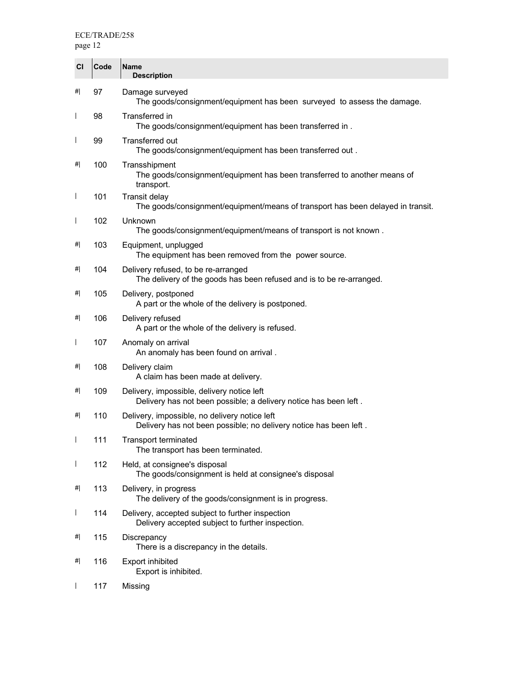| CI                       | Code | <b>Name</b><br><b>Description</b>                                                                                  |
|--------------------------|------|--------------------------------------------------------------------------------------------------------------------|
| #                        | 97   | Damage surveyed<br>The goods/consignment/equipment has been surveyed to assess the damage.                         |
| $\overline{1}$           | 98   | Transferred in<br>The goods/consignment/equipment has been transferred in.                                         |
| $\overline{\phantom{a}}$ | 99   | Transferred out<br>The goods/consignment/equipment has been transferred out.                                       |
| #                        | 100  | Transshipment<br>The goods/consignment/equipment has been transferred to another means of<br>transport.            |
| $\overline{1}$           | 101  | <b>Transit delay</b><br>The goods/consignment/equipment/means of transport has been delayed in transit.            |
| $\overline{1}$           | 102  | Unknown<br>The goods/consignment/equipment/means of transport is not known.                                        |
| #                        | 103  | Equipment, unplugged<br>The equipment has been removed from the power source.                                      |
| #                        | 104  | Delivery refused, to be re-arranged<br>The delivery of the goods has been refused and is to be re-arranged.        |
| #                        | 105  | Delivery, postponed<br>A part or the whole of the delivery is postponed.                                           |
| #                        | 106  | Delivery refused<br>A part or the whole of the delivery is refused.                                                |
| $\overline{1}$           | 107  | Anomaly on arrival<br>An anomaly has been found on arrival.                                                        |
| #                        | 108  | Delivery claim<br>A claim has been made at delivery.                                                               |
| #                        | 109  | Delivery, impossible, delivery notice left<br>Delivery has not been possible; a delivery notice has been left.     |
| #                        | 110  | Delivery, impossible, no delivery notice left<br>Delivery has not been possible; no delivery notice has been left. |
|                          | 111  | <b>Transport terminated</b><br>The transport has been terminated.                                                  |
| $\overline{1}$           | 112  | Held, at consignee's disposal<br>The goods/consignment is held at consignee's disposal                             |
| #                        | 113  | Delivery, in progress<br>The delivery of the goods/consignment is in progress.                                     |
| $\overline{1}$           | 114  | Delivery, accepted subject to further inspection<br>Delivery accepted subject to further inspection.               |
| #                        | 115  | Discrepancy<br>There is a discrepancy in the details.                                                              |
| #                        | 116  | <b>Export inhibited</b><br>Export is inhibited.                                                                    |
| $\overline{1}$           | 117  | Missing                                                                                                            |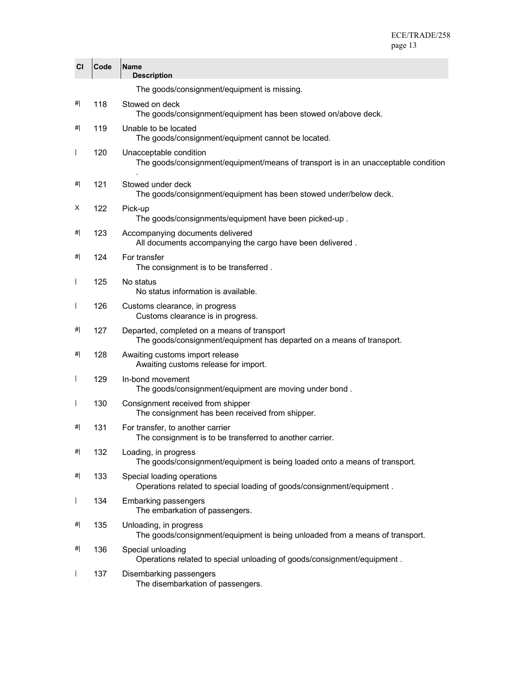| CI             | Code | <b>Name</b><br><b>Description</b>                                                                                    |
|----------------|------|----------------------------------------------------------------------------------------------------------------------|
|                |      | The goods/consignment/equipment is missing.                                                                          |
| #              | 118  | Stowed on deck<br>The goods/consignment/equipment has been stowed on/above deck.                                     |
| #              | 119  | Unable to be located<br>The goods/consignment/equipment cannot be located.                                           |
| $\overline{1}$ | 120  | Unacceptable condition<br>The goods/consignment/equipment/means of transport is in an unacceptable condition         |
| #              | 121  | Stowed under deck<br>The goods/consignment/equipment has been stowed under/below deck.                               |
| X              | 122  | Pick-up<br>The goods/consignments/equipment have been picked-up.                                                     |
| #              | 123  | Accompanying documents delivered<br>All documents accompanying the cargo have been delivered.                        |
| #              | 124  | For transfer<br>The consignment is to be transferred.                                                                |
| $\overline{1}$ | 125  | No status<br>No status information is available.                                                                     |
| $\overline{1}$ | 126  | Customs clearance, in progress<br>Customs clearance is in progress.                                                  |
| #              | 127  | Departed, completed on a means of transport<br>The goods/consignment/equipment has departed on a means of transport. |
| #              | 128  | Awaiting customs import release<br>Awaiting customs release for import.                                              |
| $\overline{1}$ | 129  | In-bond movement<br>The goods/consignment/equipment are moving under bond.                                           |
| $\overline{1}$ | 130  | Consignment received from shipper<br>The consignment has been received from shipper.                                 |
| #              | 131  | For transfer, to another carrier<br>The consignment is to be transferred to another carrier.                         |
| #              | 132  | Loading, in progress<br>The goods/consignment/equipment is being loaded onto a means of transport.                   |
| #              | 133  | Special loading operations<br>Operations related to special loading of goods/consignment/equipment.                  |
| $\mathsf{l}$   | 134  | <b>Embarking passengers</b><br>The embarkation of passengers.                                                        |
| #              | 135  | Unloading, in progress<br>The goods/consignment/equipment is being unloaded from a means of transport.               |
| #              | 136  | Special unloading<br>Operations related to special unloading of goods/consignment/equipment.                         |
| $\overline{1}$ | 137  | Disembarking passengers<br>The disembarkation of passengers.                                                         |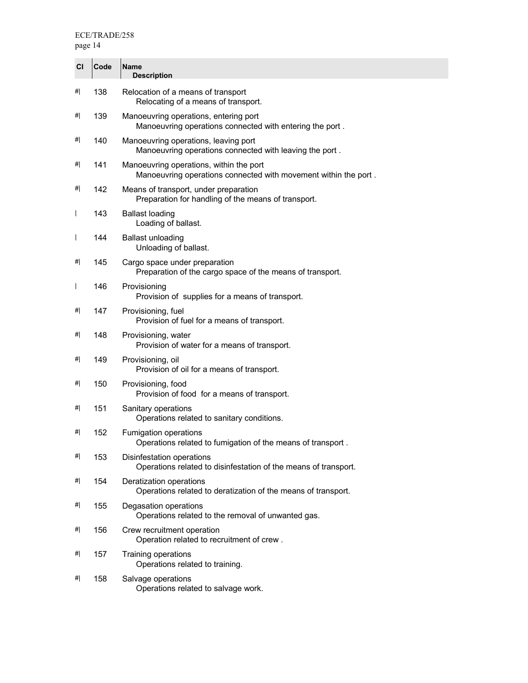| CI                       | Code | <b>Name</b><br><b>Description</b>                                                                          |
|--------------------------|------|------------------------------------------------------------------------------------------------------------|
| #                        | 138  | Relocation of a means of transport<br>Relocating of a means of transport.                                  |
| #                        | 139  | Manoeuvring operations, entering port<br>Manoeuvring operations connected with entering the port.          |
| #                        | 140  | Manoeuvring operations, leaving port<br>Manoeuvring operations connected with leaving the port.            |
| #                        | 141  | Manoeuvring operations, within the port<br>Manoeuvring operations connected with movement within the port. |
| #                        | 142  | Means of transport, under preparation<br>Preparation for handling of the means of transport.               |
| $\mathsf{l}$             | 143  | <b>Ballast loading</b><br>Loading of ballast.                                                              |
| $\overline{\phantom{a}}$ | 144  | <b>Ballast unloading</b><br>Unloading of ballast.                                                          |
| #                        | 145  | Cargo space under preparation<br>Preparation of the cargo space of the means of transport.                 |
| $\overline{\phantom{a}}$ | 146  | Provisioning<br>Provision of supplies for a means of transport.                                            |
| #                        | 147  | Provisioning, fuel<br>Provision of fuel for a means of transport.                                          |
| #                        | 148  | Provisioning, water<br>Provision of water for a means of transport.                                        |
| #                        | 149  | Provisioning, oil<br>Provision of oil for a means of transport.                                            |
| #                        | 150  | Provisioning, food<br>Provision of food for a means of transport.                                          |
| #                        | 151  | Sanitary operations<br>Operations related to sanitary conditions.                                          |
| #                        | 152  | Fumigation operations<br>Operations related to fumigation of the means of transport                        |
| #                        | 153  | Disinfestation operations<br>Operations related to disinfestation of the means of transport.               |
| #                        | 154  | Deratization operations<br>Operations related to deratization of the means of transport.                   |
| #                        | 155  | Degasation operations<br>Operations related to the removal of unwanted gas.                                |
| #                        | 156  | Crew recruitment operation<br>Operation related to recruitment of crew.                                    |
| #                        | 157  | Training operations<br>Operations related to training.                                                     |
| #                        | 158  | Salvage operations<br>Operations related to salvage work.                                                  |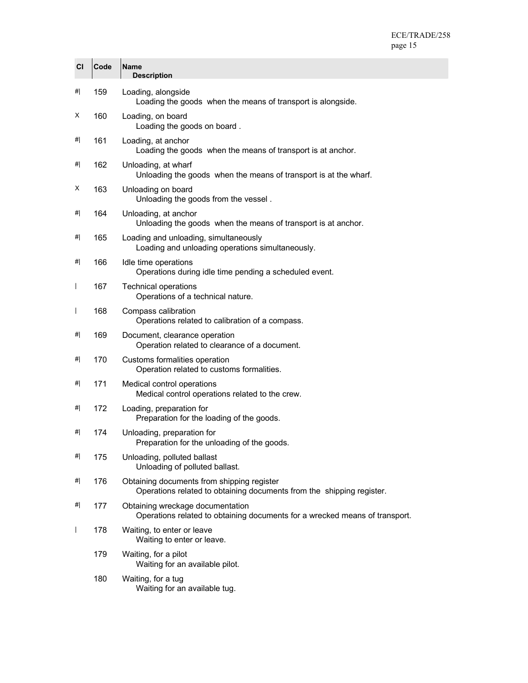| CI             | Code | <b>Name</b><br><b>Description</b>                                                                                   |
|----------------|------|---------------------------------------------------------------------------------------------------------------------|
| #              | 159  | Loading, alongside<br>Loading the goods when the means of transport is alongside.                                   |
| X              | 160  | Loading, on board<br>Loading the goods on board.                                                                    |
| #              | 161  | Loading, at anchor<br>Loading the goods when the means of transport is at anchor.                                   |
| #              | 162  | Unloading, at wharf<br>Unloading the goods when the means of transport is at the wharf.                             |
| X              | 163  | Unloading on board<br>Unloading the goods from the vessel.                                                          |
| #              | 164  | Unloading, at anchor<br>Unloading the goods when the means of transport is at anchor.                               |
| #              | 165  | Loading and unloading, simultaneously<br>Loading and unloading operations simultaneously.                           |
| #              | 166  | Idle time operations<br>Operations during idle time pending a scheduled event.                                      |
| $\overline{1}$ | 167  | <b>Technical operations</b><br>Operations of a technical nature.                                                    |
| $\overline{1}$ | 168  | Compass calibration<br>Operations related to calibration of a compass.                                              |
| #              | 169  | Document, clearance operation<br>Operation related to clearance of a document.                                      |
| #              | 170  | Customs formalities operation<br>Operation related to customs formalities.                                          |
| #              | 171  | Medical control operations<br>Medical control operations related to the crew.                                       |
| #              | 172  | Loading, preparation for<br>Preparation for the loading of the goods.                                               |
| #              | 174  | Unloading, preparation for<br>Preparation for the unloading of the goods.                                           |
| #              | 175  | Unloading, polluted ballast<br>Unloading of polluted ballast.                                                       |
| #              | 176  | Obtaining documents from shipping register<br>Operations related to obtaining documents from the shipping register. |
| #              | 177  | Obtaining wreckage documentation<br>Operations related to obtaining documents for a wrecked means of transport.     |
| $\mathsf{I}$   | 178  | Waiting, to enter or leave<br>Waiting to enter or leave.                                                            |
|                | 179  | Waiting, for a pilot<br>Waiting for an available pilot.                                                             |
|                | 180  | Waiting, for a tug<br>Waiting for an available tug.                                                                 |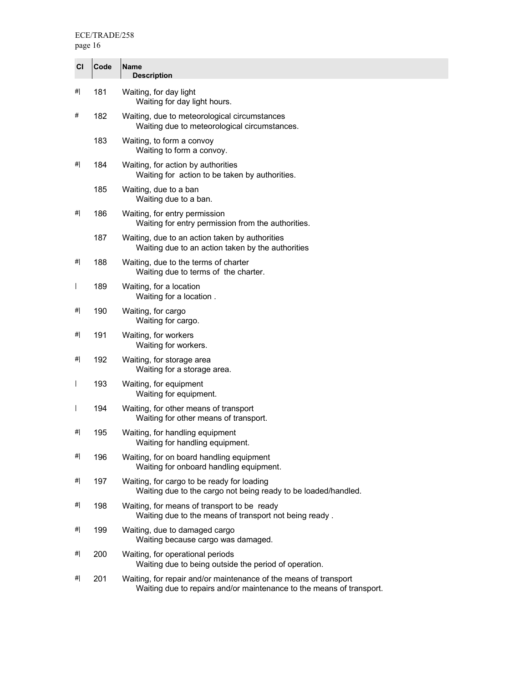page 16

| CI                       | Code | <b>Name</b><br><b>Description</b>                                                                                                        |
|--------------------------|------|------------------------------------------------------------------------------------------------------------------------------------------|
| #                        | 181  | Waiting, for day light<br>Waiting for day light hours.                                                                                   |
| #                        | 182  | Waiting, due to meteorological circumstances<br>Waiting due to meteorological circumstances.                                             |
|                          | 183  | Waiting, to form a convoy<br>Waiting to form a convoy.                                                                                   |
| #                        | 184  | Waiting, for action by authorities<br>Waiting for action to be taken by authorities.                                                     |
|                          | 185  | Waiting, due to a ban<br>Waiting due to a ban.                                                                                           |
| #                        | 186  | Waiting, for entry permission<br>Waiting for entry permission from the authorities.                                                      |
|                          | 187  | Waiting, due to an action taken by authorities<br>Waiting due to an action taken by the authorities                                      |
| #                        | 188  | Waiting, due to the terms of charter<br>Waiting due to terms of the charter.                                                             |
| $\overline{\phantom{a}}$ | 189  | Waiting, for a location<br>Waiting for a location.                                                                                       |
| #                        | 190  | Waiting, for cargo<br>Waiting for cargo.                                                                                                 |
| #                        | 191  | Waiting, for workers<br>Waiting for workers.                                                                                             |
| #                        | 192  | Waiting, for storage area<br>Waiting for a storage area.                                                                                 |
| $\overline{1}$           | 193  | Waiting, for equipment<br>Waiting for equipment.                                                                                         |
| $\overline{\phantom{a}}$ | 194  | Waiting, for other means of transport<br>Waiting for other means of transport.                                                           |
| #                        | 195  | Waiting, for handling equipment<br>Waiting for handling equipment.                                                                       |
| #                        | 196  | Waiting, for on board handling equipment<br>Waiting for onboard handling equipment.                                                      |
| #                        | 197  | Waiting, for cargo to be ready for loading<br>Waiting due to the cargo not being ready to be loaded/handled.                             |
| #                        | 198  | Waiting, for means of transport to be ready<br>Waiting due to the means of transport not being ready.                                    |
| #                        | 199  | Waiting, due to damaged cargo<br>Waiting because cargo was damaged.                                                                      |
| #                        | 200  | Waiting, for operational periods<br>Waiting due to being outside the period of operation.                                                |
| #                        | 201  | Waiting, for repair and/or maintenance of the means of transport<br>Waiting due to repairs and/or maintenance to the means of transport. |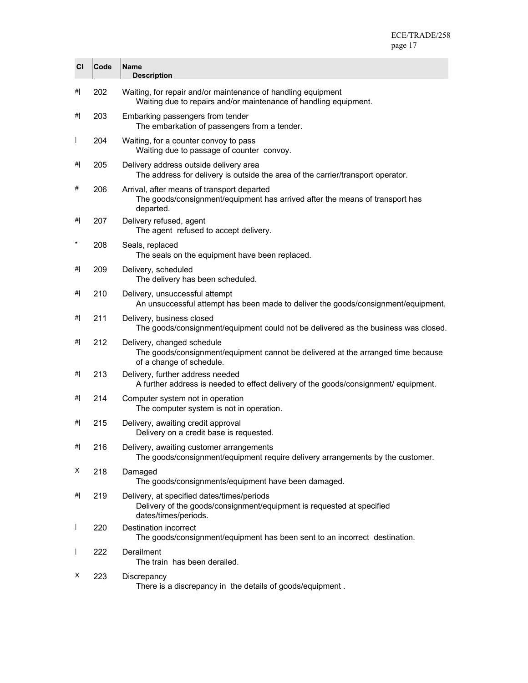| CI             | Code | <b>Name</b><br><b>Description</b>                                                                                                           |
|----------------|------|---------------------------------------------------------------------------------------------------------------------------------------------|
| #              | 202  | Waiting, for repair and/or maintenance of handling equipment<br>Waiting due to repairs and/or maintenance of handling equipment.            |
| #              | 203  | Embarking passengers from tender<br>The embarkation of passengers from a tender.                                                            |
| $\overline{1}$ | 204  | Waiting, for a counter convoy to pass<br>Waiting due to passage of counter convoy.                                                          |
| #              | 205  | Delivery address outside delivery area<br>The address for delivery is outside the area of the carrier/transport operator.                   |
| #              | 206  | Arrival, after means of transport departed<br>The goods/consignment/equipment has arrived after the means of transport has<br>departed.     |
| #              | 207  | Delivery refused, agent<br>The agent refused to accept delivery.                                                                            |
| $\star$        | 208  | Seals, replaced<br>The seals on the equipment have been replaced.                                                                           |
| #              | 209  | Delivery, scheduled<br>The delivery has been scheduled.                                                                                     |
| #              | 210  | Delivery, unsuccessful attempt<br>An unsuccessful attempt has been made to deliver the goods/consignment/equipment.                         |
| #              | 211  | Delivery, business closed<br>The goods/consignment/equipment could not be delivered as the business was closed.                             |
| #              | 212  | Delivery, changed schedule<br>The goods/consignment/equipment cannot be delivered at the arranged time because<br>of a change of schedule.  |
| #              | 213  | Delivery, further address needed<br>A further address is needed to effect delivery of the goods/consignment/ equipment.                     |
| #              | 214  | Computer system not in operation<br>The computer system is not in operation.                                                                |
| #              | 215  | Delivery, awaiting credit approval<br>Delivery on a credit base is requested.                                                               |
| #              | 216  | Delivery, awaiting customer arrangements<br>The goods/consignment/equipment require delivery arrangements by the customer.                  |
| X              | 218  | Damaged<br>The goods/consignments/equipment have been damaged.                                                                              |
| #              | 219  | Delivery, at specified dates/times/periods<br>Delivery of the goods/consignment/equipment is requested at specified<br>dates/times/periods. |
| $\overline{1}$ | 220  | <b>Destination incorrect</b><br>The goods/consignment/equipment has been sent to an incorrect destination.                                  |
| $\mathsf{l}$   | 222  | Derailment<br>The train has been derailed.                                                                                                  |
| х              | 223  | Discrepancy<br>There is a discrepancy in the details of goods/equipment.                                                                    |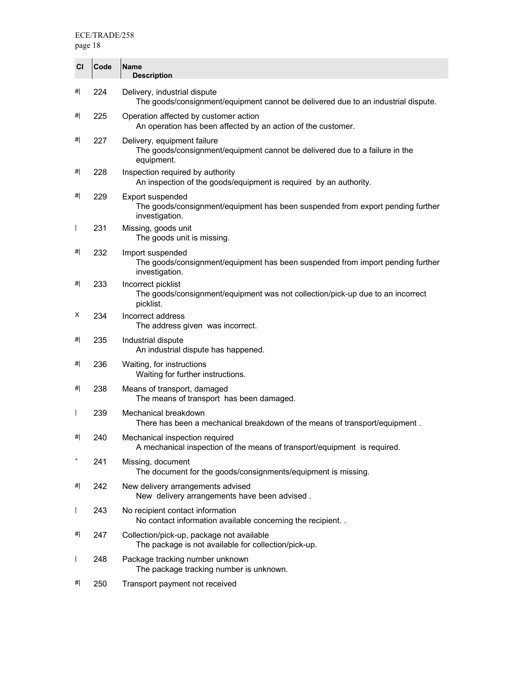| CI           | Code | Name<br><b>Description</b>                                                                                               |
|--------------|------|--------------------------------------------------------------------------------------------------------------------------|
| #            | 224  | Delivery, industrial dispute<br>The goods/consignment/equipment cannot be delivered due to an industrial dispute.        |
| #            | 225  | Operation affected by customer action<br>An operation has been affected by an action of the customer.                    |
| #            | 227  | Delivery, equipment failure<br>The goods/consignment/equipment cannot be delivered due to a failure in the<br>equipment. |
| #            | 228  | Inspection required by authority<br>An inspection of the goods/equipment is required by an authority.                    |
| #            | 229  | Export suspended<br>The goods/consignment/equipment has been suspended from export pending further<br>investigation.     |
| $\mathsf{I}$ | 231  | Missing, goods unit<br>The goods unit is missing.                                                                        |
| #            | 232  | Import suspended<br>The goods/consignment/equipment has been suspended from import pending further<br>investigation.     |
| #            | 233  | Incorrect picklist<br>The goods/consignment/equipment was not collection/pick-up due to an incorrect<br>picklist.        |
| х            | 234  | Incorrect address<br>The address given was incorrect.                                                                    |
| #            | 235  | Industrial dispute<br>An industrial dispute has happened.                                                                |
| #            | 236  | Waiting, for instructions<br>Waiting for further instructions.                                                           |
| #            | 238  | Means of transport, damaged<br>The means of transport has been damaged.                                                  |
| $\mathsf{I}$ | 239  | Mechanical breakdown<br>There has been a mechanical breakdown of the means of transport/equipment.                       |
| #            | 240  | Mechanical inspection required<br>A mechanical inspection of the means of transport/equipment is required.               |
| $\star$      | 241  | Missing, document<br>The document for the goods/consignments/equipment is missing.                                       |
| #            | 242  | New delivery arrangements advised<br>New delivery arrangements have been advised.                                        |
| $\mathsf{I}$ | 243  | No recipient contact information<br>No contact information available concerning the recipient                            |
| #            | 247  | Collection/pick-up, package not available<br>The package is not available for collection/pick-up.                        |
| $\mathsf{I}$ | 248  | Package tracking number unknown<br>The package tracking number is unknown.                                               |
| #            | 250  | Transport payment not received                                                                                           |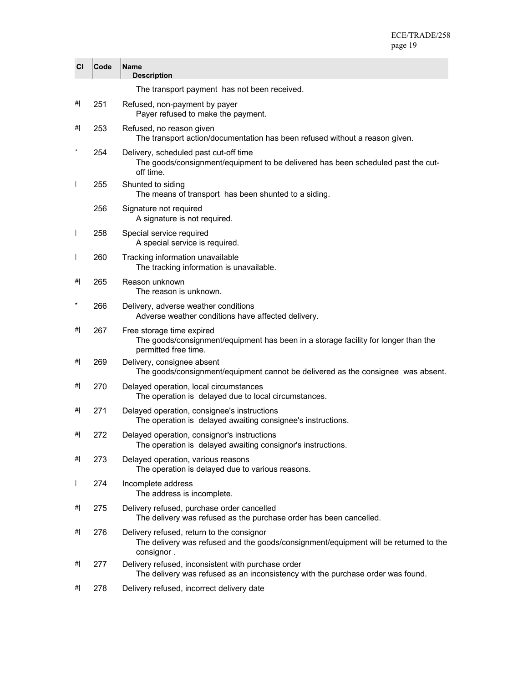| CI                       | Code | Name<br><b>Description</b>                                                                                                                      |
|--------------------------|------|-------------------------------------------------------------------------------------------------------------------------------------------------|
|                          |      | The transport payment has not been received.                                                                                                    |
| #                        | 251  | Refused, non-payment by payer<br>Payer refused to make the payment.                                                                             |
| #                        | 253  | Refused, no reason given<br>The transport action/documentation has been refused without a reason given.                                         |
| $\ast$                   | 254  | Delivery, scheduled past cut-off time<br>The goods/consignment/equipment to be delivered has been scheduled past the cut-<br>off time.          |
| $\overline{1}$           | 255  | Shunted to siding<br>The means of transport has been shunted to a siding.                                                                       |
|                          | 256  | Signature not required<br>A signature is not required.                                                                                          |
| $\mathsf{l}$             | 258  | Special service required<br>A special service is required.                                                                                      |
| $\overline{\phantom{a}}$ | 260  | Tracking information unavailable<br>The tracking information is unavailable.                                                                    |
| #                        | 265  | Reason unknown<br>The reason is unknown.                                                                                                        |
| $\star$                  | 266  | Delivery, adverse weather conditions<br>Adverse weather conditions have affected delivery.                                                      |
| #                        | 267  | Free storage time expired<br>The goods/consignment/equipment has been in a storage facility for longer than the<br>permitted free time.         |
| #                        | 269  | Delivery, consignee absent<br>The goods/consignment/equipment cannot be delivered as the consignee was absent.                                  |
| #                        | 270  | Delayed operation, local circumstances<br>The operation is delayed due to local circumstances.                                                  |
| #                        | 271  | Delayed operation, consignee's instructions<br>The operation is delayed awaiting consignee's instructions.                                      |
| #                        | 272  | Delayed operation, consignor's instructions<br>The operation is delayed awaiting consignor's instructions.                                      |
| #                        | 273  | Delayed operation, various reasons<br>The operation is delayed due to various reasons.                                                          |
| $\overline{1}$           | 274  | Incomplete address<br>The address is incomplete.                                                                                                |
| #                        | 275  | Delivery refused, purchase order cancelled<br>The delivery was refused as the purchase order has been cancelled.                                |
| #                        | 276  | Delivery refused, return to the consignor<br>The delivery was refused and the goods/consignment/equipment will be returned to the<br>consignor. |
| #                        | 277  | Delivery refused, inconsistent with purchase order<br>The delivery was refused as an inconsistency with the purchase order was found.           |
| #                        | 278  | Delivery refused, incorrect delivery date                                                                                                       |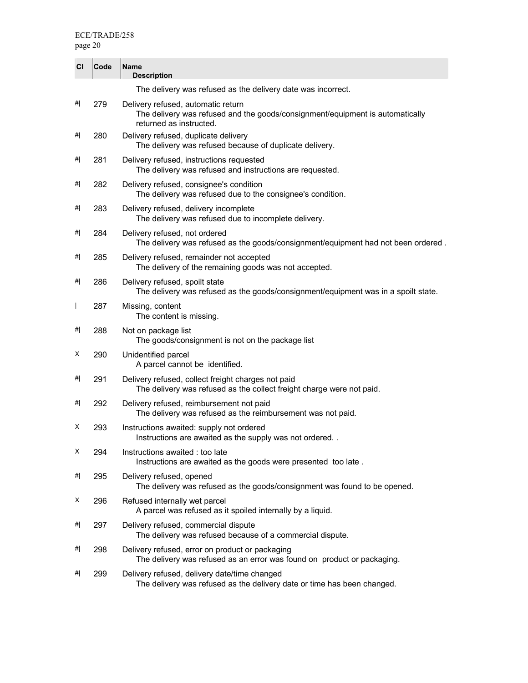| <b>CI</b> | Code | <b>Name</b><br><b>Description</b>                                                                                                              |
|-----------|------|------------------------------------------------------------------------------------------------------------------------------------------------|
|           |      | The delivery was refused as the delivery date was incorrect.                                                                                   |
| #         | 279  | Delivery refused, automatic return<br>The delivery was refused and the goods/consignment/equipment is automatically<br>returned as instructed. |
| #         | 280  | Delivery refused, duplicate delivery<br>The delivery was refused because of duplicate delivery.                                                |
| #         | 281  | Delivery refused, instructions requested<br>The delivery was refused and instructions are requested.                                           |
| #         | 282  | Delivery refused, consignee's condition<br>The delivery was refused due to the consignee's condition.                                          |
| #         | 283  | Delivery refused, delivery incomplete<br>The delivery was refused due to incomplete delivery.                                                  |
| #         | 284  | Delivery refused, not ordered<br>The delivery was refused as the goods/consignment/equipment had not been ordered.                             |
| #         | 285  | Delivery refused, remainder not accepted<br>The delivery of the remaining goods was not accepted.                                              |
| #         | 286  | Delivery refused, spoilt state<br>The delivery was refused as the goods/consignment/equipment was in a spoilt state.                           |
| I         | 287  | Missing, content<br>The content is missing.                                                                                                    |
| #         | 288  | Not on package list<br>The goods/consignment is not on the package list                                                                        |
| x         | 290  | Unidentified parcel<br>A parcel cannot be identified.                                                                                          |
| #         | 291  | Delivery refused, collect freight charges not paid<br>The delivery was refused as the collect freight charge were not paid.                    |
| #         | 292  | Delivery refused, reimbursement not paid<br>The delivery was refused as the reimbursement was not paid.                                        |
| х         | 293  | Instructions awaited: supply not ordered<br>Instructions are awaited as the supply was not ordered                                             |
| X         | 294  | Instructions awaited: too late<br>Instructions are awaited as the goods were presented too late.                                               |
| #         | 295  | Delivery refused, opened<br>The delivery was refused as the goods/consignment was found to be opened.                                          |
| X         | 296  | Refused internally wet parcel<br>A parcel was refused as it spoiled internally by a liquid.                                                    |
| #         | 297  | Delivery refused, commercial dispute<br>The delivery was refused because of a commercial dispute.                                              |
| #         | 298  | Delivery refused, error on product or packaging<br>The delivery was refused as an error was found on product or packaging.                     |
| #         | 299  | Delivery refused, delivery date/time changed<br>The delivery was refused as the delivery date or time has been changed.                        |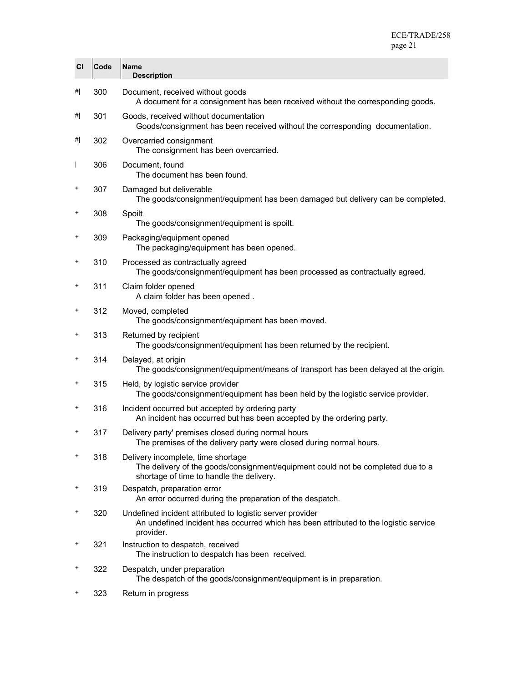| CI           | Code | <b>Name</b><br><b>Description</b>                                                                                                                                 |
|--------------|------|-------------------------------------------------------------------------------------------------------------------------------------------------------------------|
| #            | 300  | Document, received without goods<br>A document for a consignment has been received without the corresponding goods.                                               |
| #            | 301  | Goods, received without documentation<br>Goods/consignment has been received without the corresponding documentation.                                             |
| #            | 302  | Overcarried consignment<br>The consignment has been overcarried.                                                                                                  |
| $\mathsf{I}$ | 306  | Document, found<br>The document has been found.                                                                                                                   |
| +            | 307  | Damaged but deliverable<br>The goods/consignment/equipment has been damaged but delivery can be completed.                                                        |
| $\ddot{}$    | 308  | Spoilt<br>The goods/consignment/equipment is spoilt.                                                                                                              |
| $\ddot{}$    | 309  | Packaging/equipment opened<br>The packaging/equipment has been opened.                                                                                            |
| $\ddot{}$    | 310  | Processed as contractually agreed<br>The goods/consignment/equipment has been processed as contractually agreed.                                                  |
| $\ddot{}$    | 311  | Claim folder opened<br>A claim folder has been opened.                                                                                                            |
| $\ddot{}$    | 312  | Moved, completed<br>The goods/consignment/equipment has been moved.                                                                                               |
| $\ddot{}$    | 313  | Returned by recipient<br>The goods/consignment/equipment has been returned by the recipient.                                                                      |
| +            | 314  | Delayed, at origin<br>The goods/consignment/equipment/means of transport has been delayed at the origin.                                                          |
| $\ddot{}$    | 315  | Held, by logistic service provider<br>The goods/consignment/equipment has been held by the logistic service provider.                                             |
| $\ddot{}$    | 316  | Incident occurred but accepted by ordering party<br>An incident has occurred but has been accepted by the ordering party.                                         |
| +            | 317  | Delivery party' premises closed during normal hours<br>The premises of the delivery party were closed during normal hours.                                        |
| $\ddot{}$    | 318  | Delivery incomplete, time shortage<br>The delivery of the goods/consignment/equipment could not be completed due to a<br>shortage of time to handle the delivery. |
| +            | 319  | Despatch, preparation error<br>An error occurred during the preparation of the despatch.                                                                          |
| $\ddot{}$    | 320  | Undefined incident attributed to logistic server provider<br>An undefined incident has occurred which has been attributed to the logistic service<br>provider.    |
| $\ddot{}$    | 321  | Instruction to despatch, received<br>The instruction to despatch has been received.                                                                               |
| +            | 322  | Despatch, under preparation<br>The despatch of the goods/consignment/equipment is in preparation.                                                                 |
|              | nno  |                                                                                                                                                                   |

+ 323 Return in progress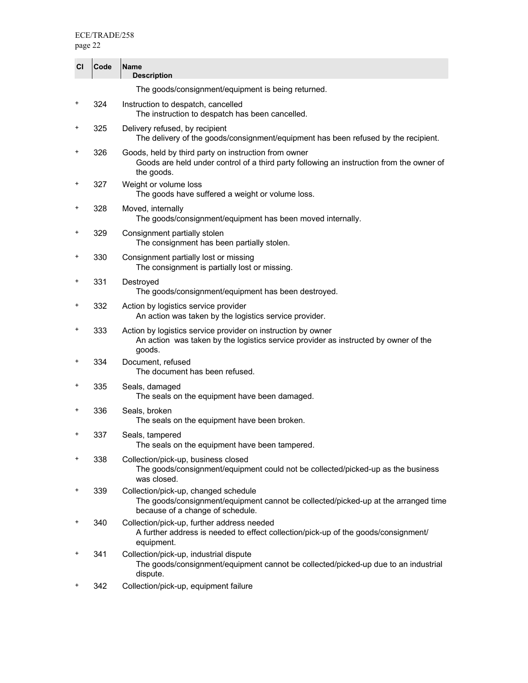| <b>CI</b> | Code | <b>Name</b><br><b>Description</b>                                                                                                                              |
|-----------|------|----------------------------------------------------------------------------------------------------------------------------------------------------------------|
|           |      | The goods/consignment/equipment is being returned.                                                                                                             |
| +         | 324  | Instruction to despatch, cancelled<br>The instruction to despatch has been cancelled.                                                                          |
| $\ddot{}$ | 325  | Delivery refused, by recipient<br>The delivery of the goods/consignment/equipment has been refused by the recipient.                                           |
| $\ddot{}$ | 326  | Goods, held by third party on instruction from owner<br>Goods are held under control of a third party following an instruction from the owner of<br>the goods. |
| +         | 327  | Weight or volume loss<br>The goods have suffered a weight or volume loss.                                                                                      |
| +         | 328  | Moved, internally<br>The goods/consignment/equipment has been moved internally.                                                                                |
| $\ddot{}$ | 329  | Consignment partially stolen<br>The consignment has been partially stolen.                                                                                     |
| +         | 330  | Consignment partially lost or missing<br>The consignment is partially lost or missing.                                                                         |
| +         | 331  | Destroyed<br>The goods/consignment/equipment has been destroyed.                                                                                               |
| $\ddot{}$ | 332  | Action by logistics service provider<br>An action was taken by the logistics service provider.                                                                 |
| $\ddot{}$ | 333  | Action by logistics service provider on instruction by owner<br>An action was taken by the logistics service provider as instructed by owner of the<br>goods.  |
| +         | 334  | Document, refused<br>The document has been refused.                                                                                                            |
| +         | 335  | Seals, damaged<br>The seals on the equipment have been damaged.                                                                                                |
| +         | 336  | Seals, broken<br>The seals on the equipment have been broken.                                                                                                  |
| $\ddot{}$ | 337  | Seals, tampered<br>The seals on the equipment have been tampered.                                                                                              |
| $\ddot{}$ | 338  | Collection/pick-up, business closed<br>The goods/consignment/equipment could not be collected/picked-up as the business<br>was closed.                         |
| +         | 339  | Collection/pick-up, changed schedule<br>The goods/consignment/equipment cannot be collected/picked-up at the arranged time<br>because of a change of schedule. |
| $\ddot{}$ | 340  | Collection/pick-up, further address needed<br>A further address is needed to effect collection/pick-up of the goods/consignment/<br>equipment.                 |
| +         | 341  | Collection/pick-up, industrial dispute<br>The goods/consignment/equipment cannot be collected/picked-up due to an industrial<br>dispute.                       |
| +         | 342  | Collection/pick-up, equipment failure                                                                                                                          |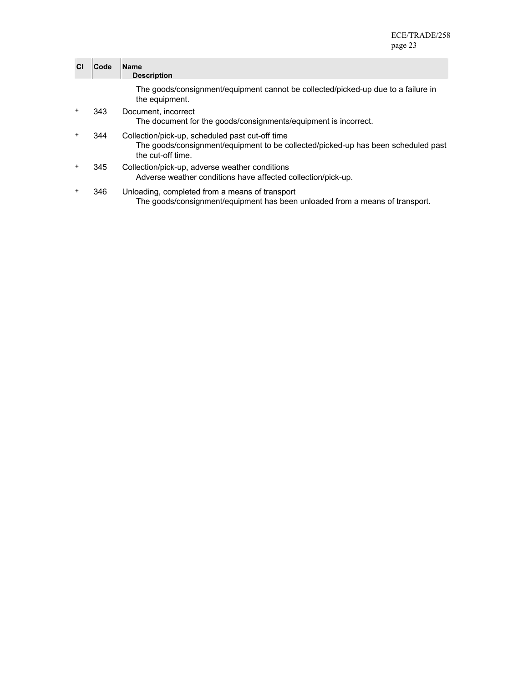| <b>CI</b> | Code | <b>IName</b><br><b>Description</b>                                                                                                                        |
|-----------|------|-----------------------------------------------------------------------------------------------------------------------------------------------------------|
|           |      | The goods/consignment/equipment cannot be collected/picked-up due to a failure in<br>the equipment.                                                       |
| $\ddot{}$ | 343  | Document, incorrect<br>The document for the goods/consignments/equipment is incorrect.                                                                    |
| $\ddot{}$ | 344  | Collection/pick-up, scheduled past cut-off time<br>The goods/consignment/equipment to be collected/picked-up has been scheduled past<br>the cut-off time. |
| $\ddot{}$ | 345  | Collection/pick-up, adverse weather conditions<br>Adverse weather conditions have affected collection/pick-up.                                            |
| $\ddot{}$ | 346  | Unloading, completed from a means of transport<br>The goods/consignment/equipment has been unloaded from a means of transport.                            |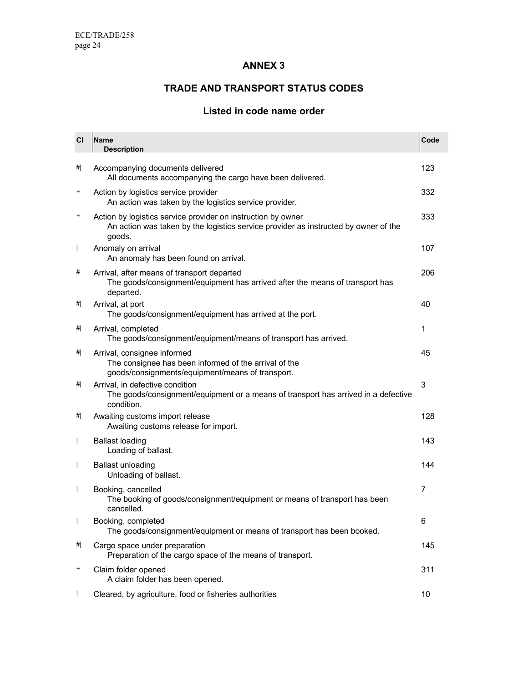### **ANNEX 3**

## **TRADE AND TRANSPORT STATUS CODES**

## **Listed in code name order**

| CI             | Name<br><b>Description</b>                                                                                                                                    | Code           |
|----------------|---------------------------------------------------------------------------------------------------------------------------------------------------------------|----------------|
| #              | Accompanying documents delivered<br>All documents accompanying the cargo have been delivered.                                                                 | 123            |
| +              | Action by logistics service provider<br>An action was taken by the logistics service provider.                                                                | 332            |
| +              | Action by logistics service provider on instruction by owner<br>An action was taken by the logistics service provider as instructed by owner of the<br>goods. | 333            |
| $\overline{1}$ | Anomaly on arrival<br>An anomaly has been found on arrival.                                                                                                   | 107            |
| #              | Arrival, after means of transport departed<br>The goods/consignment/equipment has arrived after the means of transport has<br>departed.                       | 206            |
| #              | Arrival, at port<br>The goods/consignment/equipment has arrived at the port.                                                                                  | 40             |
| #              | Arrival, completed<br>The goods/consignment/equipment/means of transport has arrived.                                                                         | 1              |
| #              | Arrival, consignee informed<br>The consignee has been informed of the arrival of the<br>goods/consignments/equipment/means of transport.                      | 45             |
| #              | Arrival, in defective condition<br>The goods/consignment/equipment or a means of transport has arrived in a defective<br>condition.                           | 3              |
| #              | Awaiting customs import release<br>Awaiting customs release for import.                                                                                       | 128            |
| $\mathbf{I}$   | <b>Ballast loading</b><br>Loading of ballast.                                                                                                                 | 143            |
| $\mathbf{I}$   | <b>Ballast unloading</b><br>Unloading of ballast.                                                                                                             | 144            |
| $\overline{1}$ | Booking, cancelled<br>The booking of goods/consignment/equipment or means of transport has been<br>cancelled.                                                 | $\overline{7}$ |
|                | Booking, completed<br>The goods/consignment/equipment or means of transport has been booked.                                                                  | 6              |
| <br>#          | Cargo space under preparation<br>Preparation of the cargo space of the means of transport.                                                                    | 145            |
| $\ddot{}$      | Claim folder opened<br>A claim folder has been opened.                                                                                                        | 311            |
|                | Cleared, by agriculture, food or fisheries authorities                                                                                                        | 10             |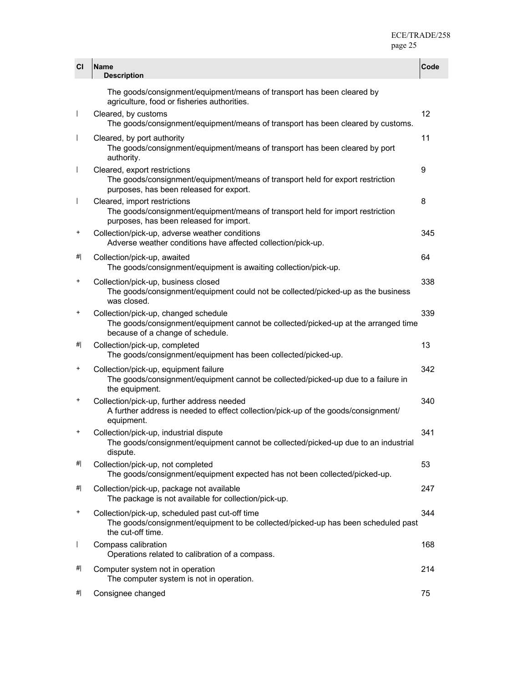| CI                       | Name<br><b>Description</b>                                                                                                                                     | Code |
|--------------------------|----------------------------------------------------------------------------------------------------------------------------------------------------------------|------|
|                          | The goods/consignment/equipment/means of transport has been cleared by<br>agriculture, food or fisheries authorities.                                          |      |
| $\overline{\phantom{a}}$ | Cleared, by customs<br>The goods/consignment/equipment/means of transport has been cleared by customs.                                                         | 12   |
|                          | Cleared, by port authority<br>The goods/consignment/equipment/means of transport has been cleared by port<br>authority.                                        | 11   |
|                          | Cleared, export restrictions<br>The goods/consignment/equipment/means of transport held for export restriction<br>purposes, has been released for export.      | 9    |
|                          | Cleared, import restrictions<br>The goods/consignment/equipment/means of transport held for import restriction<br>purposes, has been released for import.      | 8    |
| +                        | Collection/pick-up, adverse weather conditions<br>Adverse weather conditions have affected collection/pick-up.                                                 | 345  |
| #                        | Collection/pick-up, awaited<br>The goods/consignment/equipment is awaiting collection/pick-up.                                                                 | 64   |
| $\ddot{}$                | Collection/pick-up, business closed<br>The goods/consignment/equipment could not be collected/picked-up as the business<br>was closed.                         | 338  |
| +                        | Collection/pick-up, changed schedule<br>The goods/consignment/equipment cannot be collected/picked-up at the arranged time<br>because of a change of schedule. | 339  |
| #                        | Collection/pick-up, completed<br>The goods/consignment/equipment has been collected/picked-up.                                                                 | 13   |
| +                        | Collection/pick-up, equipment failure<br>The goods/consignment/equipment cannot be collected/picked-up due to a failure in<br>the equipment.                   | 342  |
| +                        | Collection/pick-up, further address needed<br>A further address is needed to effect collection/pick-up of the goods/consignment/<br>equipment.                 | 340  |
| +                        | Collection/pick-up, industrial dispute<br>The goods/consignment/equipment cannot be collected/picked-up due to an industrial<br>dispute.                       | 341  |
| <br>#                    | Collection/pick-up, not completed<br>The goods/consignment/equipment expected has not been collected/picked-up.                                                | 53   |
| 삐                        | Collection/pick-up, package not available<br>The package is not available for collection/pick-up.                                                              | 247  |
| +                        | Collection/pick-up, scheduled past cut-off time<br>The goods/consignment/equipment to be collected/picked-up has been scheduled past<br>the cut-off time.      | 344  |
|                          | Compass calibration<br>Operations related to calibration of a compass.                                                                                         | 168  |
| 삐                        | Computer system not in operation<br>The computer system is not in operation.                                                                                   | 214  |
| #                        | Consignee changed                                                                                                                                              | 75   |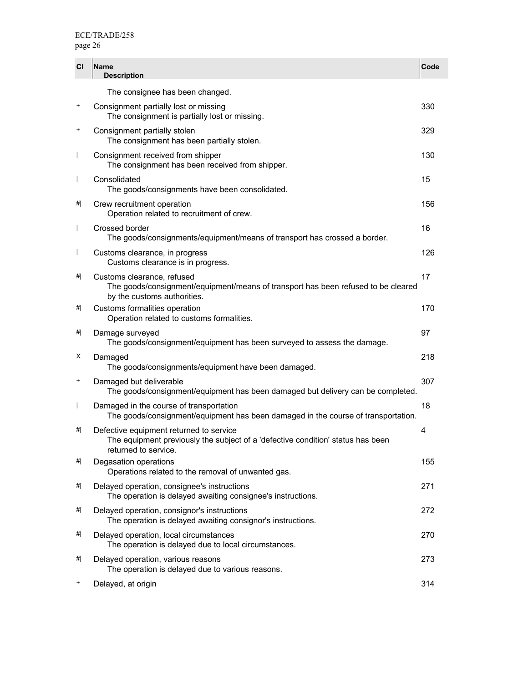| CI                       | <b>Name</b><br><b>Description</b>                                                                                                                  | Code |
|--------------------------|----------------------------------------------------------------------------------------------------------------------------------------------------|------|
|                          | The consignee has been changed.                                                                                                                    |      |
| $\ddot{}$                | Consignment partially lost or missing<br>The consignment is partially lost or missing.                                                             | 330  |
| $\ddot{}$                | Consignment partially stolen<br>The consignment has been partially stolen.                                                                         | 329  |
| $\overline{\phantom{a}}$ | Consignment received from shipper<br>The consignment has been received from shipper.                                                               | 130  |
| $\overline{1}$           | Consolidated<br>The goods/consignments have been consolidated.                                                                                     | 15   |
| #                        | Crew recruitment operation<br>Operation related to recruitment of crew.                                                                            | 156  |
| $\overline{\phantom{a}}$ | Crossed border<br>The goods/consignments/equipment/means of transport has crossed a border.                                                        | 16   |
| $\overline{\phantom{a}}$ | Customs clearance, in progress<br>Customs clearance is in progress.                                                                                | 126  |
| #                        | Customs clearance, refused<br>The goods/consignment/equipment/means of transport has been refused to be cleared<br>by the customs authorities.     | 17   |
| <br>#                    | Customs formalities operation<br>Operation related to customs formalities.                                                                         | 170  |
| 삐                        | Damage surveyed<br>The goods/consignment/equipment has been surveyed to assess the damage.                                                         | 97   |
| х                        | Damaged<br>The goods/consignments/equipment have been damaged.                                                                                     | 218  |
| $\ddot{}$                | Damaged but deliverable<br>The goods/consignment/equipment has been damaged but delivery can be completed.                                         | 307  |
| $\mathsf{l}$             | Damaged in the course of transportation<br>The goods/consignment/equipment has been damaged in the course of transportation.                       | 18   |
| 삐                        | Defective equipment returned to service<br>The equipment previously the subject of a 'defective condition' status has been<br>returned to service. | 4    |
| <br>#                    | Degasation operations<br>Operations related to the removal of unwanted gas.                                                                        | 155  |
| #                        | Delayed operation, consignee's instructions<br>The operation is delayed awaiting consignee's instructions.                                         | 271  |
| 삐                        | Delayed operation, consignor's instructions<br>The operation is delayed awaiting consignor's instructions.                                         | 272  |
| 삐                        | Delayed operation, local circumstances<br>The operation is delayed due to local circumstances.                                                     | 270  |
| #                        | Delayed operation, various reasons<br>The operation is delayed due to various reasons.                                                             | 273  |
| $\ddot{}$                | Delayed, at origin                                                                                                                                 | 314  |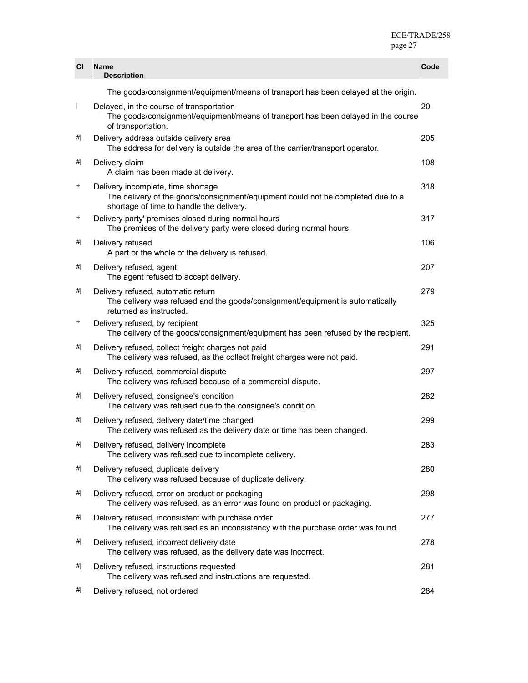| CI           | <b>Name</b><br><b>Description</b>                                                                                                                                 | Code |
|--------------|-------------------------------------------------------------------------------------------------------------------------------------------------------------------|------|
|              | The goods/consignment/equipment/means of transport has been delayed at the origin.                                                                                |      |
| $\mathbf{I}$ | Delayed, in the course of transportation<br>The goods/consignment/equipment/means of transport has been delayed in the course<br>of transportation.               | 20   |
| #            | Delivery address outside delivery area<br>The address for delivery is outside the area of the carrier/transport operator.                                         | 205  |
| #            | Delivery claim<br>A claim has been made at delivery.                                                                                                              | 108  |
| +            | Delivery incomplete, time shortage<br>The delivery of the goods/consignment/equipment could not be completed due to a<br>shortage of time to handle the delivery. | 318  |
| $\ddot{}$    | Delivery party' premises closed during normal hours<br>The premises of the delivery party were closed during normal hours.                                        | 317  |
| 삐            | Delivery refused<br>A part or the whole of the delivery is refused.                                                                                               | 106  |
| 삐            | Delivery refused, agent<br>The agent refused to accept delivery.                                                                                                  | 207  |
| #            | Delivery refused, automatic return<br>The delivery was refused and the goods/consignment/equipment is automatically<br>returned as instructed.                    | 279  |
| +            | Delivery refused, by recipient<br>The delivery of the goods/consignment/equipment has been refused by the recipient.                                              | 325  |
| 삐            | Delivery refused, collect freight charges not paid<br>The delivery was refused, as the collect freight charges were not paid.                                     | 291  |
| #            | Delivery refused, commercial dispute<br>The delivery was refused because of a commercial dispute.                                                                 | 297  |
| 삐            | Delivery refused, consignee's condition<br>The delivery was refused due to the consignee's condition.                                                             | 282  |
| #            | Delivery refused, delivery date/time changed<br>The delivery was refused as the delivery date or time has been changed.                                           | 299  |
| #            | Delivery refused, delivery incomplete<br>The delivery was refused due to incomplete delivery.                                                                     | 283  |
| <br>#        | Delivery refused, duplicate delivery<br>The delivery was refused because of duplicate delivery.                                                                   | 280  |
| 삐            | Delivery refused, error on product or packaging<br>The delivery was refused, as an error was found on product or packaging.                                       | 298  |
| #            | Delivery refused, inconsistent with purchase order<br>The delivery was refused as an inconsistency with the purchase order was found.                             | 277  |
| #            | Delivery refused, incorrect delivery date<br>The delivery was refused, as the delivery date was incorrect.                                                        | 278  |
| #            | Delivery refused, instructions requested<br>The delivery was refused and instructions are requested.                                                              | 281  |
| #            | Delivery refused, not ordered                                                                                                                                     | 284  |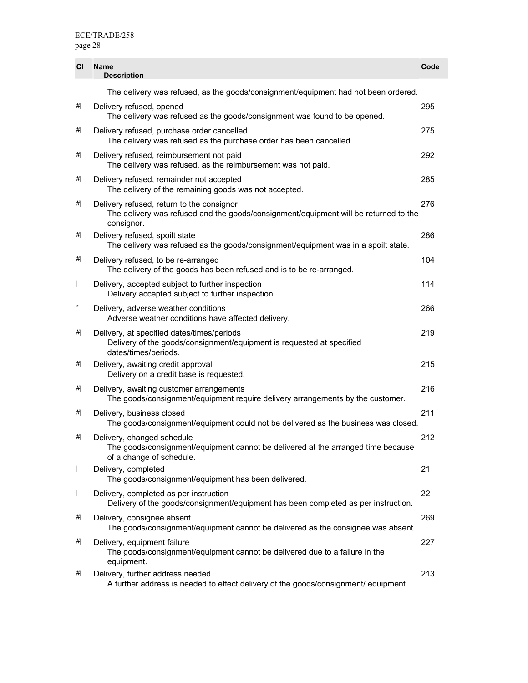| CI                       | <b>Name</b><br><b>Description</b>                                                                                                               | Code |
|--------------------------|-------------------------------------------------------------------------------------------------------------------------------------------------|------|
|                          | The delivery was refused, as the goods/consignment/equipment had not been ordered.                                                              |      |
| <br>#                    | Delivery refused, opened<br>The delivery was refused as the goods/consignment was found to be opened.                                           | 295  |
| #                        | Delivery refused, purchase order cancelled<br>The delivery was refused as the purchase order has been cancelled.                                | 275  |
| 삐                        | Delivery refused, reimbursement not paid<br>The delivery was refused, as the reimbursement was not paid.                                        | 292  |
| 삐                        | Delivery refused, remainder not accepted<br>The delivery of the remaining goods was not accepted.                                               | 285  |
| #                        | Delivery refused, return to the consignor<br>The delivery was refused and the goods/consignment/equipment will be returned to the<br>consignor. | 276  |
| #                        | Delivery refused, spoilt state<br>The delivery was refused as the goods/consignment/equipment was in a spoilt state.                            | 286  |
| <br>#                    | Delivery refused, to be re-arranged<br>The delivery of the goods has been refused and is to be re-arranged.                                     | 104  |
| $\overline{\phantom{a}}$ | Delivery, accepted subject to further inspection<br>Delivery accepted subject to further inspection.                                            | 114  |
| $\star$                  | Delivery, adverse weather conditions<br>Adverse weather conditions have affected delivery.                                                      | 266  |
| #                        | Delivery, at specified dates/times/periods<br>Delivery of the goods/consignment/equipment is requested at specified<br>dates/times/periods.     | 219  |
| 삐                        | Delivery, awaiting credit approval<br>Delivery on a credit base is requested.                                                                   | 215  |
| #                        | Delivery, awaiting customer arrangements<br>The goods/consignment/equipment require delivery arrangements by the customer.                      | 216  |
| 삐                        | Delivery, business closed<br>The goods/consignment/equipment could not be delivered as the business was closed.                                 | 211  |
| <br>#                    | Delivery, changed schedule<br>The goods/consignment/equipment cannot be delivered at the arranged time because<br>of a change of schedule.      | 212  |
| $\overline{\phantom{a}}$ | Delivery, completed<br>The goods/consignment/equipment has been delivered.                                                                      | 21   |
| $\mathsf{I}$             | Delivery, completed as per instruction<br>Delivery of the goods/consignment/equipment has been completed as per instruction.                    | 22   |
| <br>#                    | Delivery, consignee absent<br>The goods/consignment/equipment cannot be delivered as the consignee was absent.                                  | 269  |
| <br>#                    | Delivery, equipment failure<br>The goods/consignment/equipment cannot be delivered due to a failure in the<br>equipment.                        | 227  |
| #                        | Delivery, further address needed<br>A further address is needed to effect delivery of the goods/consignment/ equipment.                         | 213  |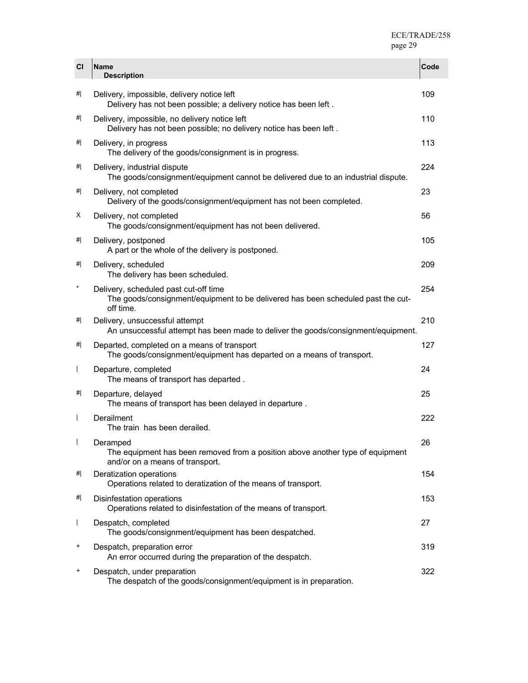| <b>CI</b>                | <b>Name</b><br><b>Description</b>                                                                                                      | Code |
|--------------------------|----------------------------------------------------------------------------------------------------------------------------------------|------|
| <br>#                    | Delivery, impossible, delivery notice left<br>Delivery has not been possible; a delivery notice has been left.                         | 109  |
| #                        | Delivery, impossible, no delivery notice left<br>Delivery has not been possible; no delivery notice has been left.                     | 110  |
| #                        | Delivery, in progress<br>The delivery of the goods/consignment is in progress.                                                         | 113  |
| #                        | Delivery, industrial dispute<br>The goods/consignment/equipment cannot be delivered due to an industrial dispute.                      | 224  |
| #                        | Delivery, not completed<br>Delivery of the goods/consignment/equipment has not been completed.                                         | 23   |
| х                        | Delivery, not completed<br>The goods/consignment/equipment has not been delivered.                                                     | 56   |
| #                        | Delivery, postponed<br>A part or the whole of the delivery is postponed.                                                               | 105  |
| #                        | Delivery, scheduled<br>The delivery has been scheduled.                                                                                | 209  |
| $\ast$                   | Delivery, scheduled past cut-off time<br>The goods/consignment/equipment to be delivered has been scheduled past the cut-<br>off time. | 254  |
| #                        | Delivery, unsuccessful attempt<br>An unsuccessful attempt has been made to deliver the goods/consignment/equipment.                    | 210  |
| #                        | Departed, completed on a means of transport<br>The goods/consignment/equipment has departed on a means of transport.                   | 127  |
| $\overline{\phantom{a}}$ | Departure, completed<br>The means of transport has departed.                                                                           | 24   |
| #                        | Departure, delayed<br>The means of transport has been delayed in departure.                                                            | 25   |
| $\overline{\phantom{a}}$ | Derailment<br>The train has been derailed.                                                                                             | 222  |
|                          | Deramped<br>The equipment has been removed from a position above another type of equipment<br>and/or on a means of transport.          | 26   |
| #                        | Deratization operations<br>Operations related to deratization of the means of transport.                                               | 154  |
| <br>#                    | Disinfestation operations<br>Operations related to disinfestation of the means of transport.                                           | 153  |
| $\mathsf{I}$             | Despatch, completed<br>The goods/consignment/equipment has been despatched.                                                            | 27   |
| +                        | Despatch, preparation error<br>An error occurred during the preparation of the despatch.                                               | 319  |
| $\ddot{}$                | Despatch, under preparation<br>The despatch of the goods/consignment/equipment is in preparation.                                      | 322  |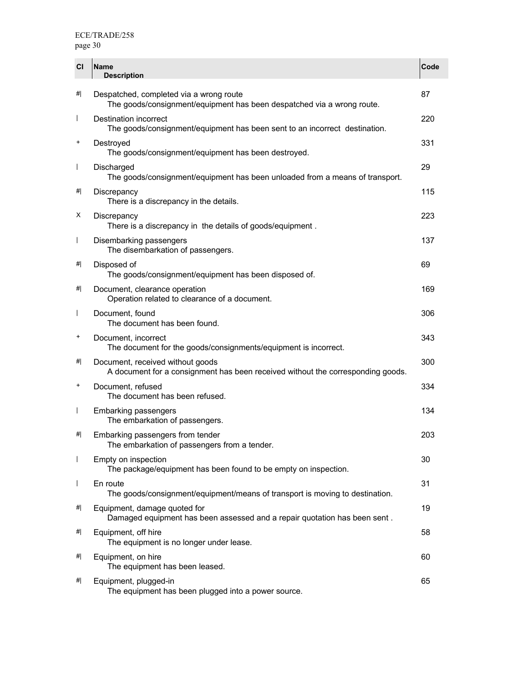| <b>CI</b>                | <b>Name</b><br><b>Description</b>                                                                                   | Code |
|--------------------------|---------------------------------------------------------------------------------------------------------------------|------|
| <br>#                    | Despatched, completed via a wrong route<br>The goods/consignment/equipment has been despatched via a wrong route.   | 87   |
| $\overline{\phantom{a}}$ | Destination incorrect<br>The goods/consignment/equipment has been sent to an incorrect destination.                 | 220  |
| $\ddot{}$                | Destroyed<br>The goods/consignment/equipment has been destroyed.                                                    | 331  |
| $\overline{1}$           | Discharged<br>The goods/consignment/equipment has been unloaded from a means of transport.                          | 29   |
| 삐                        | Discrepancy<br>There is a discrepancy in the details.                                                               | 115  |
| Х                        | Discrepancy<br>There is a discrepancy in the details of goods/equipment.                                            | 223  |
| $\overline{1}$           | Disembarking passengers<br>The disembarkation of passengers.                                                        | 137  |
| 삐                        | Disposed of<br>The goods/consignment/equipment has been disposed of.                                                | 69   |
| 삐                        | Document, clearance operation<br>Operation related to clearance of a document.                                      | 169  |
| $\overline{\phantom{a}}$ | Document, found<br>The document has been found.                                                                     | 306  |
| $\ddot{}$                | Document, incorrect<br>The document for the goods/consignments/equipment is incorrect.                              | 343  |
| 삐                        | Document, received without goods<br>A document for a consignment has been received without the corresponding goods. | 300  |
| $\ddot{}$                | Document, refused<br>The document has been refused.                                                                 | 334  |
| $\overline{1}$           | <b>Embarking passengers</b><br>The embarkation of passengers.                                                       | 134  |
| #                        | Embarking passengers from tender<br>The embarkation of passengers from a tender.                                    | 203  |
| $\overline{1}$           | Empty on inspection<br>The package/equipment has been found to be empty on inspection.                              | 30   |
| $\overline{1}$           | En route<br>The goods/consignment/equipment/means of transport is moving to destination.                            | 31   |
| 삐                        | Equipment, damage quoted for<br>Damaged equipment has been assessed and a repair quotation has been sent.           | 19   |
| 삐                        | Equipment, off hire<br>The equipment is no longer under lease.                                                      | 58   |
| 삐                        | Equipment, on hire<br>The equipment has been leased.                                                                | 60   |
| #                        | Equipment, plugged-in<br>The equipment has been plugged into a power source.                                        | 65   |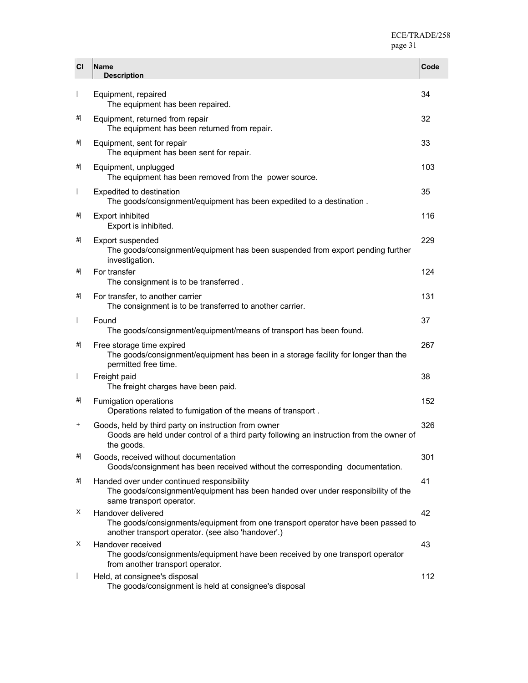| <b>CI</b>                | <b>Name</b><br><b>Description</b>                                                                                                                              | Code |
|--------------------------|----------------------------------------------------------------------------------------------------------------------------------------------------------------|------|
| $\mathsf{I}$             | Equipment, repaired<br>The equipment has been repaired.                                                                                                        | 34   |
| #                        | Equipment, returned from repair<br>The equipment has been returned from repair.                                                                                | 32   |
| #                        | Equipment, sent for repair<br>The equipment has been sent for repair.                                                                                          | 33   |
| #                        | Equipment, unplugged<br>The equipment has been removed from the power source.                                                                                  | 103  |
| $\mathsf{I}$             | <b>Expedited to destination</b><br>The goods/consignment/equipment has been expedited to a destination.                                                        | 35   |
| #                        | <b>Export inhibited</b><br>Export is inhibited.                                                                                                                | 116  |
| #                        | Export suspended<br>The goods/consignment/equipment has been suspended from export pending further<br>investigation.                                           | 229  |
| #                        | For transfer<br>The consignment is to be transferred.                                                                                                          | 124  |
| #                        | For transfer, to another carrier<br>The consignment is to be transferred to another carrier.                                                                   | 131  |
| $\mathsf{I}$             | Found<br>The goods/consignment/equipment/means of transport has been found.                                                                                    | 37   |
| #                        | Free storage time expired<br>The goods/consignment/equipment has been in a storage facility for longer than the<br>permitted free time.                        | 267  |
| $\overline{\phantom{a}}$ | Freight paid<br>The freight charges have been paid.                                                                                                            | 38   |
| #                        | Fumigation operations<br>Operations related to fumigation of the means of transport.                                                                           | 152  |
| +                        | Goods, held by third party on instruction from owner<br>Goods are held under control of a third party following an instruction from the owner of<br>the goods. | 326  |
| #                        | Goods, received without documentation<br>Goods/consignment has been received without the corresponding documentation.                                          | 301  |
| #                        | Handed over under continued responsibility<br>The goods/consignment/equipment has been handed over under responsibility of the<br>same transport operator.     | 41   |
| х                        | Handover delivered<br>The goods/consignments/equipment from one transport operator have been passed to<br>another transport operator. (see also 'handover'.)   | 42   |
| х                        | Handover received<br>The goods/consignments/equipment have been received by one transport operator<br>from another transport operator.                         | 43   |
| I                        | Held, at consignee's disposal<br>The goods/consignment is held at consignee's disposal                                                                         | 112  |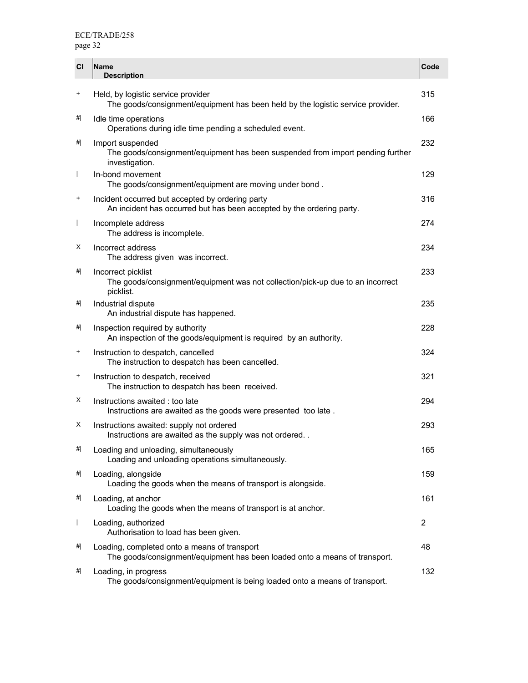| <b>CI</b>      | <b>Name</b><br><b>Description</b>                                                                                          | Code           |
|----------------|----------------------------------------------------------------------------------------------------------------------------|----------------|
| $\ddot{}$      | Held, by logistic service provider<br>The goods/consignment/equipment has been held by the logistic service provider.      | 315            |
| 삐              | Idle time operations<br>Operations during idle time pending a scheduled event.                                             | 166            |
| #              | Import suspended<br>The goods/consignment/equipment has been suspended from import pending further<br>investigation.       | 232            |
| $\mathbf{I}$   | In-bond movement<br>The goods/consignment/equipment are moving under bond.                                                 | 129            |
| $^{+}$         | Incident occurred but accepted by ordering party<br>An incident has occurred but has been accepted by the ordering party.  | 316            |
| $\overline{1}$ | Incomplete address<br>The address is incomplete.                                                                           | 274            |
| Х              | Incorrect address<br>The address given was incorrect.                                                                      | 234            |
| 삐              | Incorrect picklist<br>The goods/consignment/equipment was not collection/pick-up due to an incorrect<br>picklist.          | 233            |
| 삐              | Industrial dispute<br>An industrial dispute has happened.                                                                  | 235            |
| 삐              | Inspection required by authority<br>An inspection of the goods/equipment is required by an authority.                      | 228            |
| $\ddot{}$      | Instruction to despatch, cancelled<br>The instruction to despatch has been cancelled.                                      | 324            |
| $\ddot{}$      | Instruction to despatch, received<br>The instruction to despatch has been received.                                        | 321            |
| х              | Instructions awaited : too late<br>Instructions are awaited as the goods were presented too late.                          | 294            |
| х              | Instructions awaited: supply not ordered<br>Instructions are awaited as the supply was not ordered                         | 293            |
| #              | Loading and unloading, simultaneously<br>Loading and unloading operations simultaneously.                                  | 165            |
| 삐              | Loading, alongside<br>Loading the goods when the means of transport is alongside.                                          | 159            |
| 삐              | Loading, at anchor<br>Loading the goods when the means of transport is at anchor.                                          | 161            |
| $\overline{1}$ | Loading, authorized<br>Authorisation to load has been given.                                                               | $\overline{2}$ |
| 삐              | Loading, completed onto a means of transport<br>The goods/consignment/equipment has been loaded onto a means of transport. | 48             |
| #              | Loading, in progress<br>The goods/consignment/equipment is being loaded onto a means of transport.                         | 132            |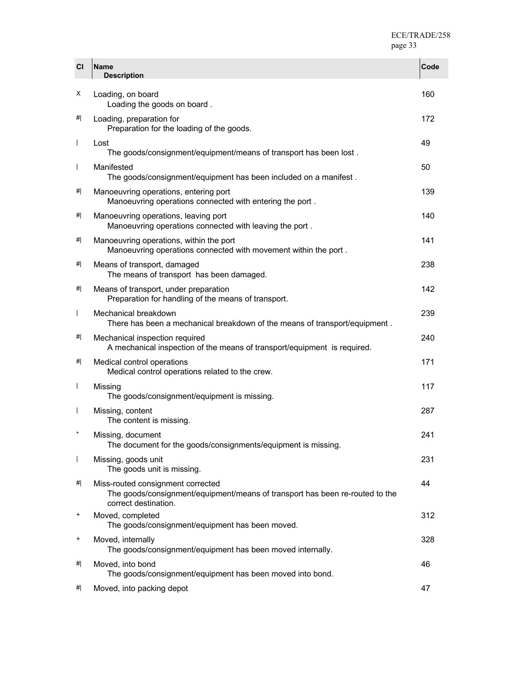| CI                       | <b>Name</b><br><b>Description</b>                                                                                                         | Code |
|--------------------------|-------------------------------------------------------------------------------------------------------------------------------------------|------|
| х                        | Loading, on board<br>Loading the goods on board.                                                                                          | 160  |
| #                        | Loading, preparation for<br>Preparation for the loading of the goods.                                                                     | 172  |
| $\overline{\phantom{a}}$ | Lost<br>The goods/consignment/equipment/means of transport has been lost.                                                                 | 49   |
| $\overline{\phantom{a}}$ | Manifested<br>The goods/consignment/equipment has been included on a manifest.                                                            | 50   |
| <br>#                    | Manoeuvring operations, entering port<br>Manoeuvring operations connected with entering the port.                                         | 139  |
| <br>#                    | Manoeuvring operations, leaving port<br>Manoeuvring operations connected with leaving the port.                                           | 140  |
| #                        | Manoeuvring operations, within the port<br>Manoeuvring operations connected with movement within the port.                                | 141  |
| <br>#                    | Means of transport, damaged<br>The means of transport has been damaged.                                                                   | 238  |
| <br>#                    | Means of transport, under preparation<br>Preparation for handling of the means of transport.                                              | 142  |
| $\mathsf{I}$             | Mechanical breakdown<br>There has been a mechanical breakdown of the means of transport/equipment.                                        | 239  |
| <br>#                    | Mechanical inspection required<br>A mechanical inspection of the means of transport/equipment is required.                                | 240  |
| #                        | Medical control operations<br>Medical control operations related to the crew.                                                             | 171  |
| $\overline{\phantom{a}}$ | Missing<br>The goods/consignment/equipment is missing.                                                                                    | 117  |
| $\overline{\phantom{a}}$ | Missing, content<br>The content is missing.                                                                                               | 287  |
| $\ast$                   | Missing, document<br>The document for the goods/consignments/equipment is missing.                                                        | 241  |
| $\overline{\phantom{a}}$ | Missing, goods unit<br>The goods unit is missing.                                                                                         | 231  |
| <br>#                    | Miss-routed consignment corrected<br>The goods/consignment/equipment/means of transport has been re-routed to the<br>correct destination. | 44   |
| $\ddot{}$                | Moved, completed<br>The goods/consignment/equipment has been moved.                                                                       | 312  |
| $\ddot{}$                | Moved, internally<br>The goods/consignment/equipment has been moved internally.                                                           | 328  |
| #                        | Moved, into bond<br>The goods/consignment/equipment has been moved into bond.                                                             | 46   |
| <br>#                    | Moved, into packing depot                                                                                                                 | 47   |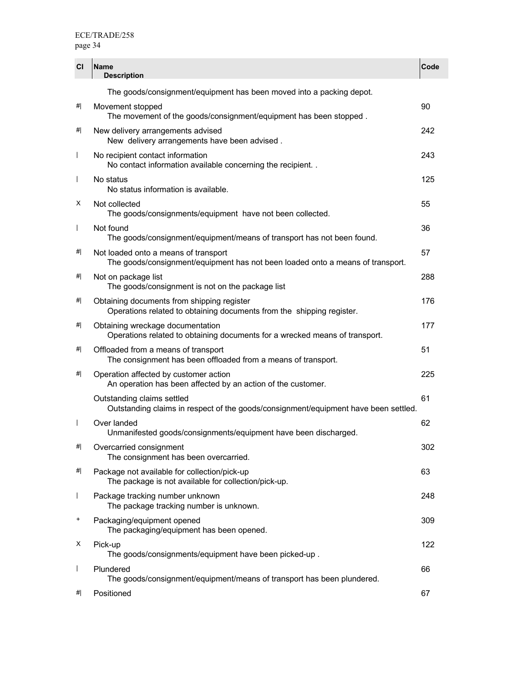| <b>CI</b>                | <b>Name</b><br><b>Description</b>                                                                                      | Code |
|--------------------------|------------------------------------------------------------------------------------------------------------------------|------|
|                          | The goods/consignment/equipment has been moved into a packing depot.                                                   |      |
| <br>#                    | Movement stopped<br>The movement of the goods/consignment/equipment has been stopped.                                  | 90   |
| #                        | New delivery arrangements advised<br>New delivery arrangements have been advised.                                      | 242  |
| $\overline{\phantom{a}}$ | No recipient contact information<br>No contact information available concerning the recipient. .                       | 243  |
| $\overline{\phantom{a}}$ | No status<br>No status information is available.                                                                       | 125  |
| X                        | Not collected<br>The goods/consignments/equipment have not been collected.                                             | 55   |
| $\overline{1}$           | Not found<br>The goods/consignment/equipment/means of transport has not been found.                                    | 36   |
| #                        | Not loaded onto a means of transport<br>The goods/consignment/equipment has not been loaded onto a means of transport. | 57   |
| #                        | Not on package list<br>The goods/consignment is not on the package list                                                | 288  |
| <br>#                    | Obtaining documents from shipping register<br>Operations related to obtaining documents from the shipping register.    | 176  |
| #                        | Obtaining wreckage documentation<br>Operations related to obtaining documents for a wrecked means of transport.        | 177  |
| #                        | Offloaded from a means of transport<br>The consignment has been offloaded from a means of transport.                   | 51   |
| #                        | Operation affected by customer action<br>An operation has been affected by an action of the customer.                  | 225  |
|                          | Outstanding claims settled<br>Outstanding claims in respect of the goods/consignment/equipment have been settled.      | 61   |
| $\overline{1}$           | Over landed<br>Unmanifested goods/consignments/equipment have been discharged.                                         | 62   |
| #                        | Overcarried consignment<br>The consignment has been overcarried.                                                       | 302  |
| <br>#                    | Package not available for collection/pick-up<br>The package is not available for collection/pick-up.                   | 63   |
| $\mathsf{I}$             | Package tracking number unknown<br>The package tracking number is unknown.                                             | 248  |
| $\ddot{}$                | Packaging/equipment opened<br>The packaging/equipment has been opened.                                                 | 309  |
| х                        | Pick-up<br>The goods/consignments/equipment have been picked-up.                                                       | 122  |
| $\overline{1}$           | Plundered<br>The goods/consignment/equipment/means of transport has been plundered.                                    | 66   |
| <br>#                    | Positioned                                                                                                             | 67   |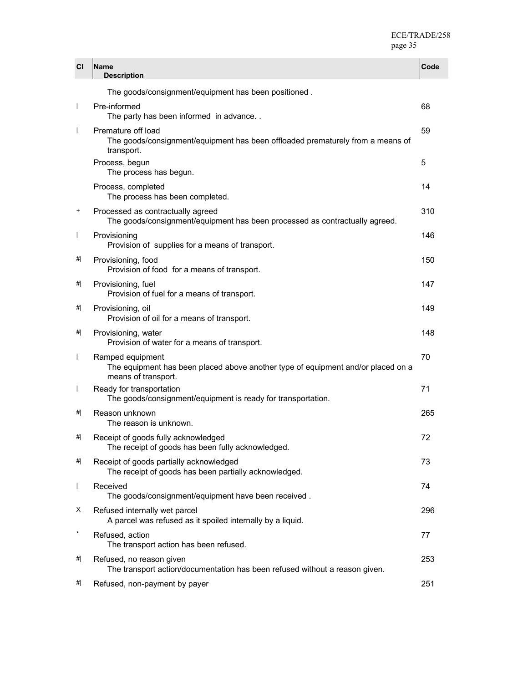| <b>CI</b>                | Name<br><b>Description</b>                                                                                                  | Code |
|--------------------------|-----------------------------------------------------------------------------------------------------------------------------|------|
|                          | The goods/consignment/equipment has been positioned.                                                                        |      |
|                          | Pre-informed<br>The party has been informed in advance                                                                      | 68   |
|                          | Premature off load<br>The goods/consignment/equipment has been offloaded prematurely from a means of<br>transport.          | 59   |
|                          | Process, begun<br>The process has begun.                                                                                    | 5    |
|                          | Process, completed<br>The process has been completed.                                                                       | 14   |
| +                        | Processed as contractually agreed<br>The goods/consignment/equipment has been processed as contractually agreed.            | 310  |
| $\mathbf{I}$             | Provisioning<br>Provision of supplies for a means of transport.                                                             | 146  |
| #                        | Provisioning, food<br>Provision of food for a means of transport.                                                           | 150  |
| 삐                        | Provisioning, fuel<br>Provision of fuel for a means of transport.                                                           | 147  |
| 삐                        | Provisioning, oil<br>Provision of oil for a means of transport.                                                             | 149  |
| 삐                        | Provisioning, water<br>Provision of water for a means of transport.                                                         | 148  |
| $\mathbf{I}$             | Ramped equipment<br>The equipment has been placed above another type of equipment and/or placed on a<br>means of transport. | 70   |
| $\overline{\phantom{a}}$ | Ready for transportation<br>The goods/consignment/equipment is ready for transportation.                                    | 71   |
| #                        | Reason unknown<br>The reason is unknown.                                                                                    | 265  |
| #                        | Receipt of goods fully acknowledged<br>The receipt of goods has been fully acknowledged.                                    | 72   |
| #                        | Receipt of goods partially acknowledged<br>The receipt of goods has been partially acknowledged.                            | 73   |
|                          | Received<br>The goods/consignment/equipment have been received.                                                             | 74   |
| х                        | Refused internally wet parcel<br>A parcel was refused as it spoiled internally by a liquid.                                 | 296  |
|                          | Refused, action<br>The transport action has been refused.                                                                   | 77   |
| 삐                        | Refused, no reason given<br>The transport action/documentation has been refused without a reason given.                     | 253  |
| 삐                        | Refused, non-payment by payer                                                                                               | 251  |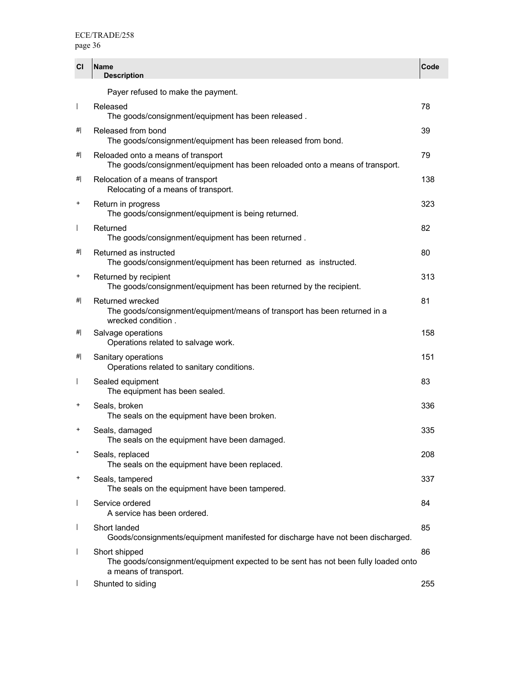| <b>CI</b>                | <b>Name</b><br><b>Description</b>                                                                                            | Code |
|--------------------------|------------------------------------------------------------------------------------------------------------------------------|------|
|                          | Payer refused to make the payment.                                                                                           |      |
| $\overline{1}$           | Released<br>The goods/consignment/equipment has been released.                                                               | 78   |
| #                        | Released from bond<br>The goods/consignment/equipment has been released from bond.                                           | 39   |
| #                        | Reloaded onto a means of transport<br>The goods/consignment/equipment has been reloaded onto a means of transport.           | 79   |
| #                        | Relocation of a means of transport<br>Relocating of a means of transport.                                                    | 138  |
| +                        | Return in progress<br>The goods/consignment/equipment is being returned.                                                     | 323  |
| $\overline{1}$           | Returned<br>The goods/consignment/equipment has been returned.                                                               | 82   |
| #                        | Returned as instructed<br>The goods/consignment/equipment has been returned as instructed.                                   | 80   |
| +                        | Returned by recipient<br>The goods/consignment/equipment has been returned by the recipient.                                 | 313  |
| #                        | Returned wrecked<br>The goods/consignment/equipment/means of transport has been returned in a<br>wrecked condition.          | 81   |
| #                        | Salvage operations<br>Operations related to salvage work.                                                                    | 158  |
| #                        | Sanitary operations<br>Operations related to sanitary conditions.                                                            | 151  |
| $\overline{1}$           | Sealed equipment<br>The equipment has been sealed.                                                                           | 83   |
| +                        | Seals, broken<br>The seals on the equipment have been broken.                                                                | 336  |
| $\ddot{}$                | Seals, damaged<br>The seals on the equipment have been damaged.                                                              | 335  |
| $\star$                  | Seals, replaced<br>The seals on the equipment have been replaced.                                                            | 208  |
| +                        | Seals, tampered<br>The seals on the equipment have been tampered.                                                            | 337  |
| $\overline{\phantom{a}}$ | Service ordered<br>A service has been ordered.                                                                               | 84   |
| $\overline{\phantom{a}}$ | Short landed<br>Goods/consignments/equipment manifested for discharge have not been discharged.                              | 85   |
| $\overline{1}$           | Short shipped<br>The goods/consignment/equipment expected to be sent has not been fully loaded onto<br>a means of transport. | 86   |
|                          | Shunted to siding                                                                                                            | 255  |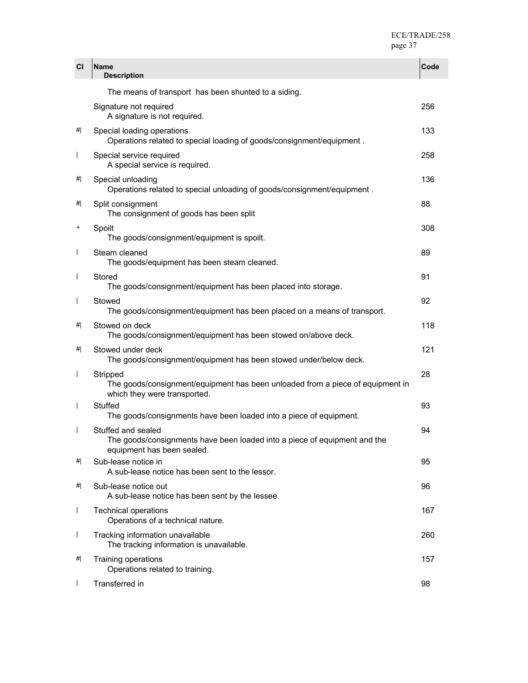| <b>CI</b>      | Name<br><b>Description</b>                                                                                                    | Code |
|----------------|-------------------------------------------------------------------------------------------------------------------------------|------|
|                | The means of transport has been shunted to a siding.                                                                          |      |
|                | Signature not required<br>A signature is not required.                                                                        | 256  |
| #              | Special loading operations<br>Operations related to special loading of goods/consignment/equipment.                           | 133  |
|                | Special service required<br>A special service is required.                                                                    | 258  |
| #              | Special unloading<br>Operations related to special unloading of goods/consignment/equipment.                                  | 136  |
| #              | Split consignment<br>The consignment of goods has been split                                                                  | 88   |
| +              | Spoilt<br>The goods/consignment/equipment is spoilt.                                                                          | 308  |
|                | Steam cleaned<br>The goods/equipment has been steam cleaned.                                                                  | 89   |
| $\mathbf{I}$   | Stored<br>The goods/consignment/equipment has been placed into storage.                                                       | 91   |
|                | Stowed<br>The goods/consignment/equipment has been placed on a means of transport.                                            | 92   |
| #              | Stowed on deck<br>The goods/consignment/equipment has been stowed on/above deck.                                              | 118  |
| #              | Stowed under deck<br>The goods/consignment/equipment has been stowed under/below deck.                                        | 121  |
|                | Stripped<br>The goods/consignment/equipment has been unloaded from a piece of equipment in<br>which they were transported.    | 28   |
|                | Stuffed<br>The goods/consignments have been loaded into a piece of equipment.                                                 | 93   |
|                | Stuffed and sealed<br>The goods/consignments have been loaded into a piece of equipment and the<br>equipment has been sealed. | 94   |
| #              | Sub-lease notice in<br>A sub-lease notice has been sent to the lessor.                                                        | 95   |
| #              | Sub-lease notice out<br>A sub-lease notice has been sent by the lessee.                                                       | 96   |
| $\overline{1}$ | <b>Technical operations</b><br>Operations of a technical nature.                                                              | 167  |
| $\mathsf{I}$   | Tracking information unavailable<br>The tracking information is unavailable.                                                  | 260  |
| #              | Training operations<br>Operations related to training.                                                                        | 157  |
|                | Transferred in                                                                                                                | 98   |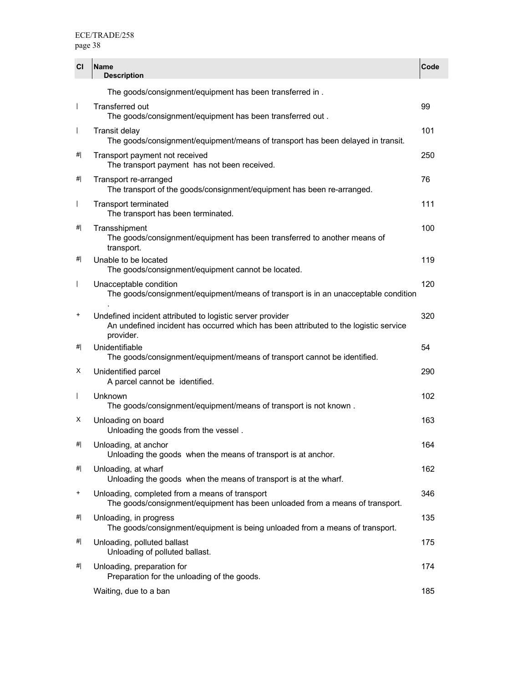| CI                       | Name<br><b>Description</b>                                                                                                                                     | Code |
|--------------------------|----------------------------------------------------------------------------------------------------------------------------------------------------------------|------|
|                          | The goods/consignment/equipment has been transferred in.                                                                                                       |      |
| $\mathbf{I}$             | <b>Transferred out</b><br>The goods/consignment/equipment has been transferred out.                                                                            | 99   |
| $\overline{1}$           | <b>Transit delay</b><br>The goods/consignment/equipment/means of transport has been delayed in transit.                                                        | 101  |
| #                        | Transport payment not received<br>The transport payment has not been received.                                                                                 | 250  |
| #                        | Transport re-arranged<br>The transport of the goods/consignment/equipment has been re-arranged.                                                                | 76   |
| $\overline{\phantom{a}}$ | <b>Transport terminated</b><br>The transport has been terminated.                                                                                              | 111  |
| #                        | Transshipment<br>The goods/consignment/equipment has been transferred to another means of<br>transport.                                                        | 100  |
| #                        | Unable to be located<br>The goods/consignment/equipment cannot be located.                                                                                     | 119  |
| $\overline{\phantom{a}}$ | Unacceptable condition<br>The goods/consignment/equipment/means of transport is in an unacceptable condition                                                   | 120  |
| +                        | Undefined incident attributed to logistic server provider<br>An undefined incident has occurred which has been attributed to the logistic service<br>provider. | 320  |
| #                        | Unidentifiable<br>The goods/consignment/equipment/means of transport cannot be identified.                                                                     | 54   |
| X                        | Unidentified parcel<br>A parcel cannot be identified.                                                                                                          | 290  |
| $\overline{1}$           | Unknown<br>The goods/consignment/equipment/means of transport is not known.                                                                                    | 102  |
| X                        | Unloading on board<br>Unloading the goods from the vessel.                                                                                                     | 163  |
| #                        | Unloading, at anchor<br>Unloading the goods when the means of transport is at anchor.                                                                          | 164  |
| #                        | Unloading, at wharf<br>Unloading the goods when the means of transport is at the wharf.                                                                        | 162  |
| $\ddot{}$                | Unloading, completed from a means of transport<br>The goods/consignment/equipment has been unloaded from a means of transport.                                 | 346  |
| #                        | Unloading, in progress<br>The goods/consignment/equipment is being unloaded from a means of transport.                                                         | 135  |
| #                        | Unloading, polluted ballast<br>Unloading of polluted ballast.                                                                                                  | 175  |
| #                        | Unloading, preparation for<br>Preparation for the unloading of the goods.                                                                                      | 174  |
|                          | Waiting, due to a ban                                                                                                                                          | 185  |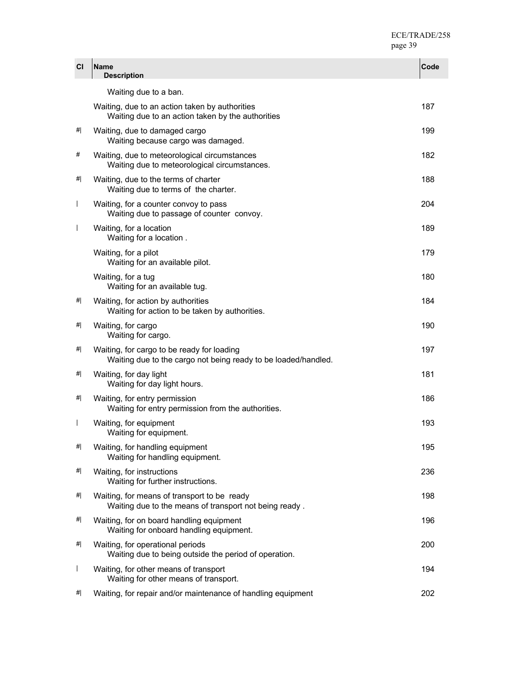| <b>CI</b>                | <b>Name</b><br><b>Description</b>                                                                            | Code |
|--------------------------|--------------------------------------------------------------------------------------------------------------|------|
|                          | Waiting due to a ban.                                                                                        |      |
|                          | Waiting, due to an action taken by authorities<br>Waiting due to an action taken by the authorities          | 187  |
| #                        | Waiting, due to damaged cargo<br>Waiting because cargo was damaged.                                          | 199  |
| #                        | Waiting, due to meteorological circumstances<br>Waiting due to meteorological circumstances.                 | 182  |
| #                        | Waiting, due to the terms of charter<br>Waiting due to terms of the charter.                                 | 188  |
| $\overline{\phantom{a}}$ | Waiting, for a counter convoy to pass<br>Waiting due to passage of counter convoy.                           | 204  |
| $\overline{\phantom{a}}$ | Waiting, for a location<br>Waiting for a location.                                                           | 189  |
|                          | Waiting, for a pilot<br>Waiting for an available pilot.                                                      | 179  |
|                          | Waiting, for a tug<br>Waiting for an available tug.                                                          | 180  |
| #                        | Waiting, for action by authorities<br>Waiting for action to be taken by authorities.                         | 184  |
| #                        | Waiting, for cargo<br>Waiting for cargo.                                                                     | 190  |
| #                        | Waiting, for cargo to be ready for loading<br>Waiting due to the cargo not being ready to be loaded/handled. | 197  |
| #                        | Waiting, for day light<br>Waiting for day light hours.                                                       | 181  |
| #                        | Waiting, for entry permission<br>Waiting for entry permission from the authorities.                          | 186  |
| $\mathbf{I}$             | Waiting, for equipment<br>Waiting for equipment.                                                             | 193  |
| <br>#                    | Waiting, for handling equipment<br>Waiting for handling equipment.                                           | 195  |
| #                        | Waiting, for instructions<br>Waiting for further instructions.                                               | 236  |
| #                        | Waiting, for means of transport to be ready<br>Waiting due to the means of transport not being ready.        | 198  |
| #                        | Waiting, for on board handling equipment<br>Waiting for onboard handling equipment.                          | 196  |
| #                        | Waiting, for operational periods<br>Waiting due to being outside the period of operation.                    | 200  |
| $\overline{\phantom{a}}$ | Waiting, for other means of transport<br>Waiting for other means of transport.                               | 194  |
| #                        | Waiting, for repair and/or maintenance of handling equipment                                                 | 202  |